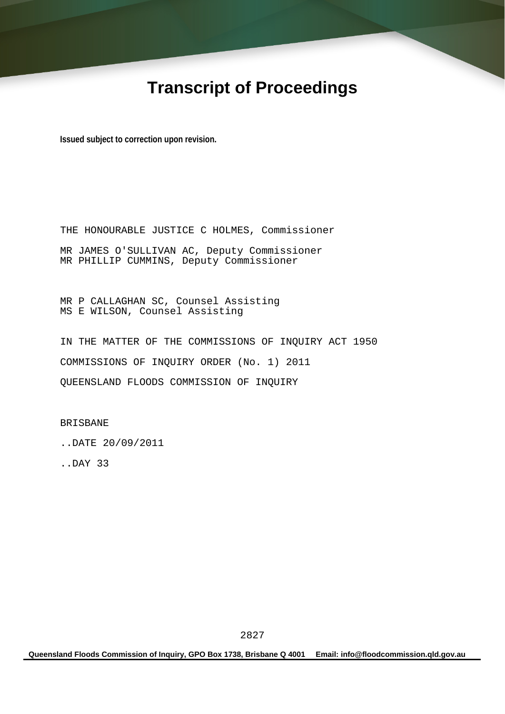# **Transcript of Proceedings**

**Issued subject to correction upon revision.** 

THE HONOURABLE JUSTICE C HOLMES, Commissioner MR JAMES O'SULLIVAN AC, Deputy Commissioner MR PHILLIP CUMMINS, Deputy Commissioner

MR P CALLAGHAN SC, Counsel Assisting MS E WILSON, Counsel Assisting

IN THE MATTER OF THE COMMISSIONS OF INQUIRY ACT 1950 COMMISSIONS OF INQUIRY ORDER (No. 1) 2011 QUEENSLAND FLOODS COMMISSION OF INQUIRY

BRISBANE

..DATE 20/09/2011

..DAY 33

**Queensland Floods Commission of Inquiry, GPO Box 1738, Brisbane Q 4001 Email: info@floodcommission.qld.gov.au**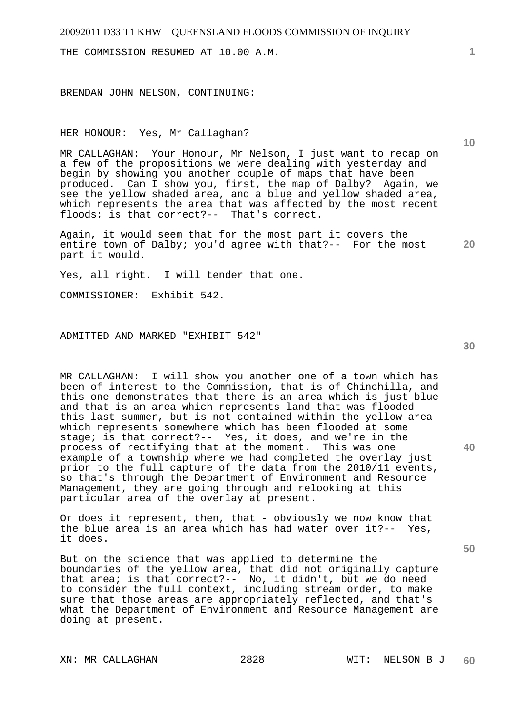THE COMMISSION RESUMED AT 10.00 A.M.

BRENDAN JOHN NELSON, CONTINUING:

HER HONOUR: Yes, Mr Callaghan?

MR CALLAGHAN: Your Honour, Mr Nelson, I just want to recap on a few of the propositions we were dealing with yesterday and begin by showing you another couple of maps that have been produced. Can I show you, first, the map of Dalby? Again, we see the yellow shaded area, and a blue and yellow shaded area, which represents the area that was affected by the most recent floods; is that correct?-- That's correct.

**20**  Again, it would seem that for the most part it covers the entire town of Dalby; you'd agree with that?-- For the most part it would.

Yes, all right. I will tender that one.

COMMISSIONER: Exhibit 542.

ADMITTED AND MARKED "EXHIBIT 542"

MR CALLAGHAN: I will show you another one of a town which has been of interest to the Commission, that is of Chinchilla, and this one demonstrates that there is an area which is just blue and that is an area which represents land that was flooded this last summer, but is not contained within the yellow area which represents somewhere which has been flooded at some stage; is that correct?-- Yes, it does, and we're in the process of rectifying that at the moment. This was one example of a township where we had completed the overlay just prior to the full capture of the data from the 2010/11 events, so that's through the Department of Environment and Resource Management, they are going through and relooking at this particular area of the overlay at present.

Or does it represent, then, that - obviously we now know that the blue area is an area which has had water over it?-- Yes, it does.

But on the science that was applied to determine the boundaries of the yellow area, that did not originally capture that area; is that correct?-- No, it didn't, but we do need to consider the full context, including stream order, to make sure that those areas are appropriately reflected, and that's what the Department of Environment and Resource Management are doing at present.

XN: MR CALLAGHAN 2828 WIT: NELSON B J

**1**

**10** 

**30** 

**40**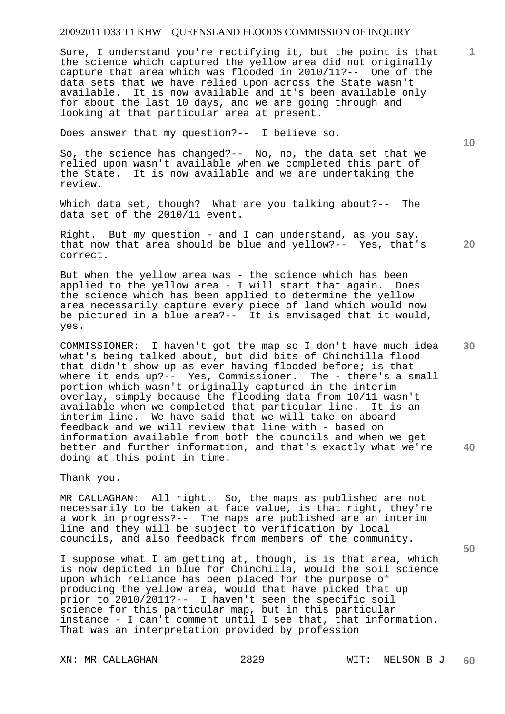Sure, I understand you're rectifying it, but the point is that the science which captured the yellow area did not originally capture that area which was flooded in 2010/11?-- One of the data sets that we have relied upon across the State wasn't available. It is now available and it's been available only for about the last 10 days, and we are going through and looking at that particular area at present.

Does answer that my question?-- I believe so.

So, the science has changed?-- No, no, the data set that we relied upon wasn't available when we completed this part of the State. It is now available and we are undertaking the review.

Which data set, though? What are you talking about?-- The data set of the 2010/11 event.

**20**  Right. But my question - and I can understand, as you say, that now that area should be blue and yellow?-- Yes, that's correct.

But when the yellow area was - the science which has been applied to the yellow area - I will start that again. Does the science which has been applied to determine the yellow area necessarily capture every piece of land which would now be pictured in a blue area?-- It is envisaged that it would, yes.

**40**  COMMISSIONER: I haven't got the map so I don't have much idea what's being talked about, but did bits of Chinchilla flood that didn't show up as ever having flooded before; is that where it ends up?-- Yes, Commissioner. The - there's a small portion which wasn't originally captured in the interim overlay, simply because the flooding data from 10/11 wasn't available when we completed that particular line. It is an interim line. We have said that we will take on aboard feedback and we will review that line with - based on information available from both the councils and when we get better and further information, and that's exactly what we're doing at this point in time.

Thank you.

MR CALLAGHAN: All right. So, the maps as published are not necessarily to be taken at face value, is that right, they're a work in progress?-- The maps are published are an interim line and they will be subject to verification by local councils, and also feedback from members of the community.

I suppose what I am getting at, though, is is that area, which is now depicted in blue for Chinchilla, would the soil science upon which reliance has been placed for the purpose of producing the yellow area, would that have picked that up prior to 2010/2011?-- I haven't seen the specific soil science for this particular map, but in this particular instance - I can't comment until I see that, that information. That was an interpretation provided by profession

XN: MR CALLAGHAN 2829 WIT: NELSON B J

**10** 

**1**

**30**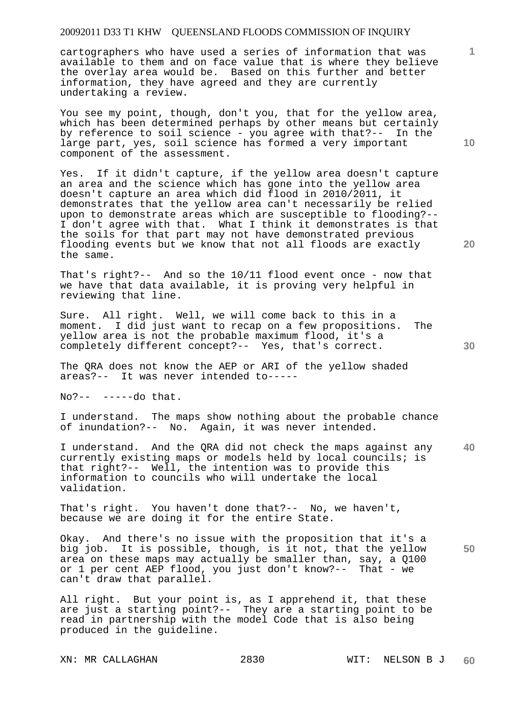cartographers who have used a series of information that was available to them and on face value that is where they believe the overlay area would be. Based on this further and better information, they have agreed and they are currently undertaking a review.

You see my point, though, don't you, that for the yellow area, which has been determined perhaps by other means but certainly by reference to soil science - you agree with that?-- In the large part, yes, soil science has formed a very important component of the assessment.

Yes. If it didn't capture, if the yellow area doesn't capture an area and the science which has gone into the yellow area doesn't capture an area which did flood in 2010/2011, it demonstrates that the yellow area can't necessarily be relied upon to demonstrate areas which are susceptible to flooding?-- I don't agree with that. What I think it demonstrates is that the soils for that part may not have demonstrated previous flooding events but we know that not all floods are exactly the same.

That's right?-- And so the 10/11 flood event once - now that we have that data available, it is proving very helpful in reviewing that line.

Sure. All right. Well, we will come back to this in a moment. I did just want to recap on a few propositions. The yellow area is not the probable maximum flood, it's a completely different concept?-- Yes, that's correct.

The QRA does not know the AEP or ARI of the yellow shaded areas?-- It was never intended to-----

No?-- -----do that.

I understand. The maps show nothing about the probable chance of inundation?-- No. Again, it was never intended.

**40**  I understand. And the QRA did not check the maps against any currently existing maps or models held by local councils; is that right?-- Well, the intention was to provide this information to councils who will undertake the local validation.

That's right. You haven't done that?-- No, we haven't, because we are doing it for the entire State.

**50**  Okay. And there's no issue with the proposition that it's a big job. It is possible, though, is it not, that the yellow area on these maps may actually be smaller than, say, a Q100 or 1 per cent AEP flood, you just don't know?-- That - we can't draw that parallel.

All right. But your point is, as I apprehend it, that these are just a starting point?-- They are a starting point to be read in partnership with the model Code that is also being produced in the guideline.

XN: MR CALLAGHAN 2830 WIT: NELSON B J

**10** 

**1**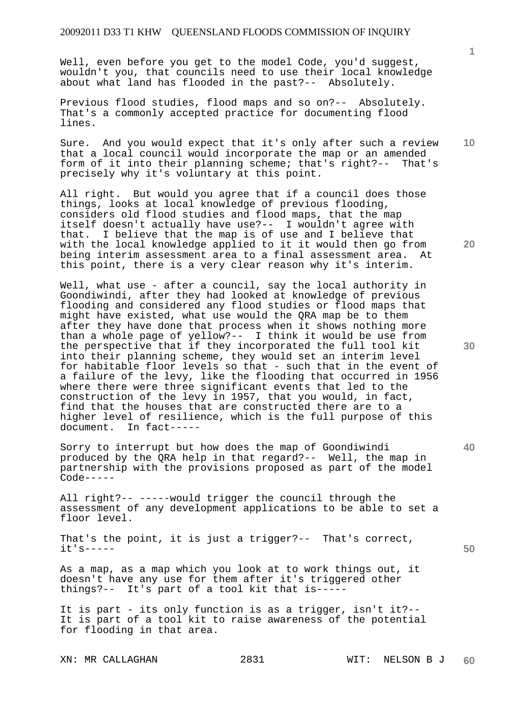Well, even before you get to the model Code, you'd suggest, wouldn't you, that councils need to use their local knowledge about what land has flooded in the past?-- Absolutely.

Previous flood studies, flood maps and so on?-- Absolutely. That's a commonly accepted practice for documenting flood lines.

Sure. And you would expect that it's only after such a review that a local council would incorporate the map or an amended form of it into their planning scheme; that's right?-- That's precisely why it's voluntary at this point.

All right. But would you agree that if a council does those things, looks at local knowledge of previous flooding, considers old flood studies and flood maps, that the map itself doesn't actually have use?-- I wouldn't agree with that. I believe that the map is of use and I believe that with the local knowledge applied to it it would then go from being interim assessment area to a final assessment area. At this point, there is a very clear reason why it's interim.

Well, what use - after a council, say the local authority in Goondiwindi, after they had looked at knowledge of previous flooding and considered any flood studies or flood maps that might have existed, what use would the QRA map be to them after they have done that process when it shows nothing more than a whole page of yellow?-- I think it would be use from the perspective that if they incorporated the full tool kit into their planning scheme, they would set an interim level for habitable floor levels so that - such that in the event of a failure of the levy, like the flooding that occurred in 1956 where there were three significant events that led to the construction of the levy in 1957, that you would, in fact, find that the houses that are constructed there are to a higher level of resilience, which is the full purpose of this document. In fact-----In fact-----

Sorry to interrupt but how does the map of Goondiwindi produced by the QRA help in that regard?-- Well, the map in partnership with the provisions proposed as part of the model Code-----

All right?-- -----would trigger the council through the assessment of any development applications to be able to set a floor level.

That's the point, it is just a trigger?-- That's correct, it's-----

As a map, as a map which you look at to work things out, it doesn't have any use for them after it's triggered other things?-- It's part of a tool kit that is-----

It is part - its only function is as a trigger, isn't it?-- It is part of a tool kit to raise awareness of the potential for flooding in that area.

XN: MR CALLAGHAN 2831 WIT: NELSON B J

**1**

**20** 

**10** 

**40**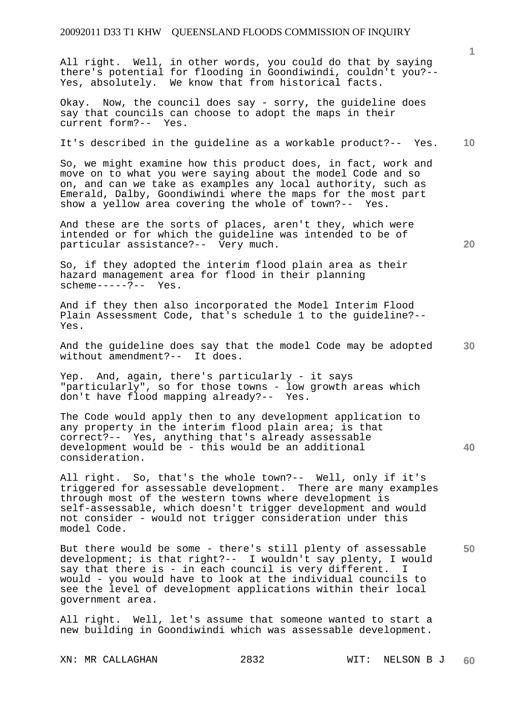All right. Well, in other words, you could do that by saying there's potential for flooding in Goondiwindi, couldn't you?-- Yes, absolutely. We know that from historical facts.

Okay. Now, the council does say - sorry, the guideline does say that councils can choose to adopt the maps in their current form?-- Yes.

#### **10**  It's described in the guideline as a workable product?-- Yes.

So, we might examine how this product does, in fact, work and move on to what you were saying about the model Code and so on, and can we take as examples any local authority, such as Emerald, Dalby, Goondiwindi where the maps for the most part show a yellow area covering the whole of town?-- Yes.

And these are the sorts of places, aren't they, which were intended or for which the guideline was intended to be of particular assistance?-- Very much.

So, if they adopted the interim flood plain area as their hazard management area for flood in their planning scheme-----?-- Yes.

And if they then also incorporated the Model Interim Flood Plain Assessment Code, that's schedule 1 to the guideline?-- Yes.

**30**  And the guideline does say that the model Code may be adopted without amendment?-- It does.

Yep. And, again, there's particularly - it says "particularly", so for those towns - low growth areas which don't have flood mapping already?-- Yes.

The Code would apply then to any development application to any property in the interim flood plain area; is that correct?-- Yes, anything that's already assessable development would be - this would be an additional consideration.

All right. So, that's the whole town?-- Well, only if it's triggered for assessable development. There are many examples through most of the western towns where development is self-assessable, which doesn't trigger development and would not consider - would not trigger consideration under this model Code.

**50**  But there would be some - there's still plenty of assessable development; is that right?-- I wouldn't say plenty, I would<br>say that there is - in each council is very different. I say that there is - in each council is very different. would - you would have to look at the individual councils to see the level of development applications within their local government area.

All right. Well, let's assume that someone wanted to start a new building in Goondiwindi which was assessable development.

**20** 

**40**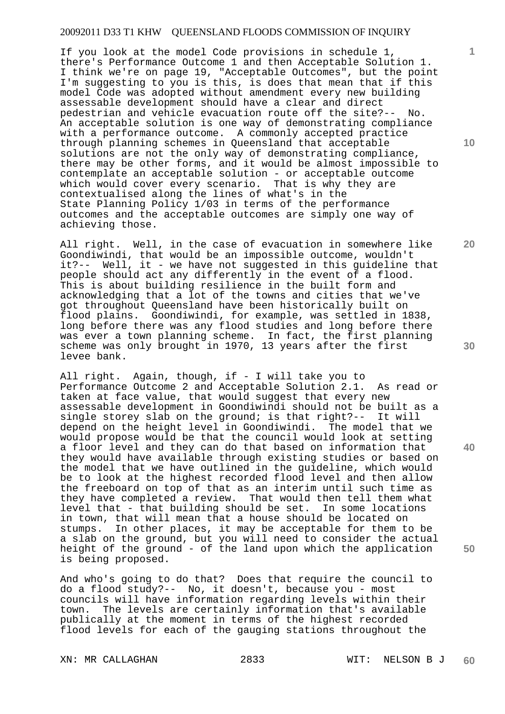If you look at the model Code provisions in schedule 1, there's Performance Outcome 1 and then Acceptable Solution 1. I think we're on page 19, "Acceptable Outcomes", but the point I'm suggesting to you is this, is does that mean that if this model Code was adopted without amendment every new building assessable development should have a clear and direct pedestrian and vehicle evacuation route off the site?-- No. An acceptable solution is one way of demonstrating compliance with a performance outcome. A commonly accepted practice through planning schemes in Queensland that acceptable solutions are not the only way of demonstrating compliance, there may be other forms, and it would be almost impossible to contemplate an acceptable solution - or acceptable outcome which would cover every scenario. That is why they are contextualised along the lines of what's in the State Planning Policy 1/03 in terms of the performance outcomes and the acceptable outcomes are simply one way of achieving those.

All right. Well, in the case of evacuation in somewhere like Goondiwindi, that would be an impossible outcome, wouldn't it?-- Well, it - we have not suggested in this guideline that people should act any differently in the event of a flood. This is about building resilience in the built form and acknowledging that a lot of the towns and cities that we've got throughout Queensland have been historically built on flood plains. Goondiwindi, for example, was settled in 1838, long before there was any flood studies and long before there was ever a town planning scheme. In fact, the first planning scheme was only brought in 1970, 13 years after the first levee bank.

All right. Again, though, if - I will take you to Performance Outcome 2 and Acceptable Solution 2.1. As read or taken at face value, that would suggest that every new assessable development in Goondiwindi should not be built as a single storey slab on the ground; is that right?-- It will depend on the height level in Goondiwindi. The model that we would propose would be that the council would look at setting a floor level and they can do that based on information that they would have available through existing studies or based on the model that we have outlined in the guideline, which would be to look at the highest recorded flood level and then allow the freeboard on top of that as an interim until such time as they have completed a review. That would then tell them what level that - that building should be set. In some locations in town, that will mean that a house should be located on stumps. In other places, it may be acceptable for them to be a slab on the ground, but you will need to consider the actual height of the ground - of the land upon which the application is being proposed.

And who's going to do that? Does that require the council to do a flood study?-- No, it doesn't, because you - most councils will have information regarding levels within their town. The levels are certainly information that's available publically at the moment in terms of the highest recorded flood levels for each of the gauging stations throughout the

**10** 

**1**

**20** 

**40**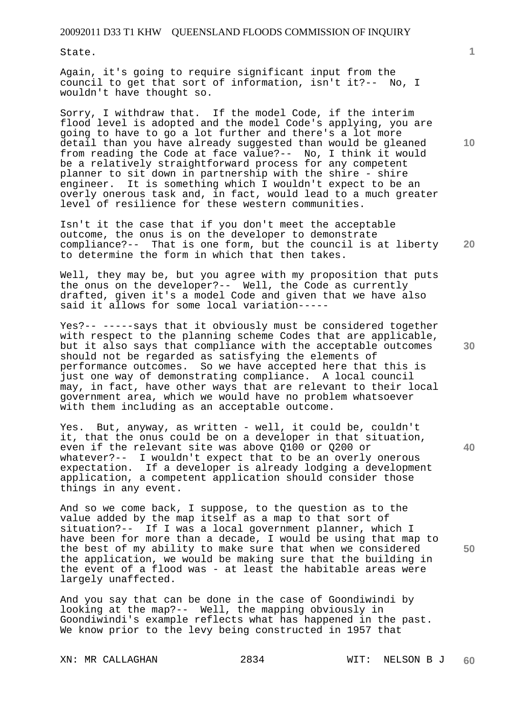State.

Again, it's going to require significant input from the council to get that sort of information, isn't it?-- No, I wouldn't have thought so.

Sorry, I withdraw that. If the model Code, if the interim flood level is adopted and the model Code's applying, you are going to have to go a lot further and there's a lot more detail than you have already suggested than would be gleaned from reading the Code at face value?-- No, I think it would be a relatively straightforward process for any competent planner to sit down in partnership with the shire - shire engineer. It is something which I wouldn't expect to be an overly onerous task and, in fact, would lead to a much greater level of resilience for these western communities.

**20**  Isn't it the case that if you don't meet the acceptable outcome, the onus is on the developer to demonstrate compliance?-- That is one form, but the council is at liberty to determine the form in which that then takes.

Well, they may be, but you agree with my proposition that puts the onus on the developer?-- Well, the Code as currently drafted, given it's a model Code and given that we have also said it allows for some local variation-----

Yes?-- -----says that it obviously must be considered together with respect to the planning scheme Codes that are applicable, but it also says that compliance with the acceptable outcomes should not be regarded as satisfying the elements of performance outcomes. So we have accepted here that this is just one way of demonstrating compliance. A local council may, in fact, have other ways that are relevant to their local government area, which we would have no problem whatsoever with them including as an acceptable outcome.

Yes. But, anyway, as written - well, it could be, couldn't it, that the onus could be on a developer in that situation, even if the relevant site was above Q100 or Q200 or whatever?-- I wouldn't expect that to be an overly onerous expectation. If a developer is already lodging a development application, a competent application should consider those things in any event.

And so we come back, I suppose, to the question as to the value added by the map itself as a map to that sort of situation?-- If I was a local government planner, which I have been for more than a decade, I would be using that map to the best of my ability to make sure that when we considered the application, we would be making sure that the building in the event of a flood was - at least the habitable areas were largely unaffected.

And you say that can be done in the case of Goondiwindi by looking at the map?-- Well, the mapping obviously in Goondiwindi's example reflects what has happened in the past. We know prior to the levy being constructed in 1957 that

**10** 

**40**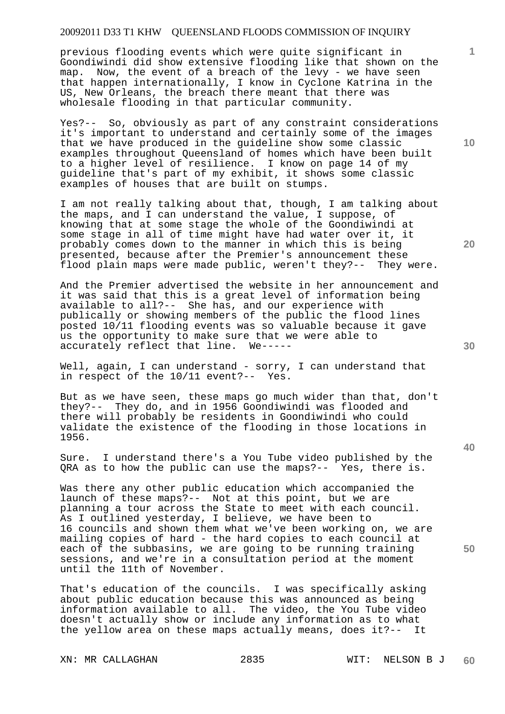previous flooding events which were quite significant in Goondiwindi did show extensive flooding like that shown on the map. Now, the event of a breach of the levy - we have seen that happen internationally, I know in Cyclone Katrina in the US, New Orleans, the breach there meant that there was wholesale flooding in that particular community.

Yes?-- So, obviously as part of any constraint considerations it's important to understand and certainly some of the images that we have produced in the guideline show some classic examples throughout Queensland of homes which have been built to a higher level of resilience. I know on page 14 of my guideline that's part of my exhibit, it shows some classic examples of houses that are built on stumps.

I am not really talking about that, though, I am talking about the maps, and I can understand the value, I suppose, of knowing that at some stage the whole of the Goondiwindi at some stage in all of time might have had water over it, it probably comes down to the manner in which this is being presented, because after the Premier's announcement these flood plain maps were made public, weren't they?-- They were.

And the Premier advertised the website in her announcement and it was said that this is a great level of information being available to all?-- She has, and our experience with publically or showing members of the public the flood lines posted 10/11 flooding events was so valuable because it gave us the opportunity to make sure that we were able to accurately reflect that line. We-----

Well, again, I can understand - sorry, I can understand that in respect of the 10/11 event?-- Yes.

But as we have seen, these maps go much wider than that, don't they?-- They do, and in 1956 Goondiwindi was flooded and there will probably be residents in Goondiwindi who could validate the existence of the flooding in those locations in 1956.

Sure. I understand there's a You Tube video published by the QRA as to how the public can use the maps?-- Yes, there is.

Was there any other public education which accompanied the launch of these maps?-- Not at this point, but we are planning a tour across the State to meet with each council. As I outlined yesterday, I believe, we have been to 16 councils and shown them what we've been working on, we are mailing copies of hard - the hard copies to each council at each of the subbasins, we are going to be running training sessions, and we're in a consultation period at the moment until the 11th of November.

That's education of the councils. I was specifically asking about public education because this was announced as being information available to all. The video, the You Tube video doesn't actually show or include any information as to what the yellow area on these maps actually means, does it?-- It

XN: MR CALLAGHAN 2835 WIT: NELSON B J

**10** 

**1**

**20** 

**40**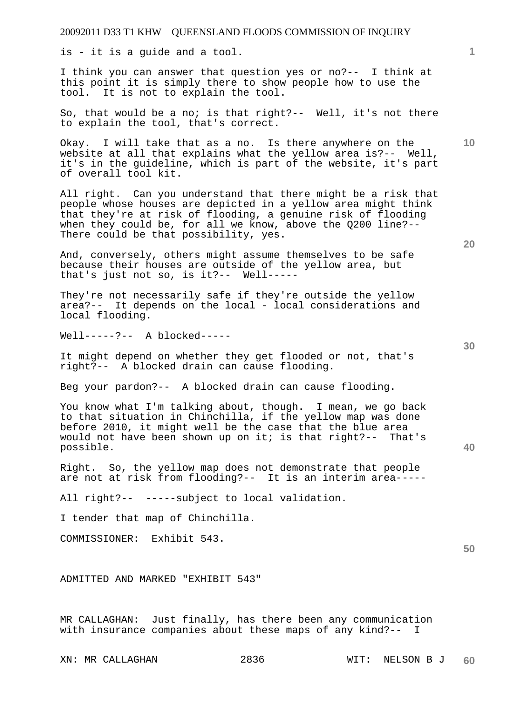is - it is a guide and a tool.

I think you can answer that question yes or no?-- I think at this point it is simply there to show people how to use the tool. It is not to explain the tool.

So, that would be a no; is that right?-- Well, it's not there to explain the tool, that's correct.

Okay. I will take that as a no. Is there anywhere on the website at all that explains what the yellow area is?-- Well, it's in the guideline, which is part of the website, it's part of overall tool kit.

All right. Can you understand that there might be a risk that people whose houses are depicted in a yellow area might think that they're at risk of flooding, a genuine risk of flooding when they could be, for all we know, above the Q200 line?-- There could be that possibility, yes.

And, conversely, others might assume themselves to be safe because their houses are outside of the yellow area, but that's just not so, is it?-- Well-----

They're not necessarily safe if they're outside the yellow area?-- It depends on the local - local considerations and local flooding.

Well-----?-- A blocked-----

It might depend on whether they get flooded or not, that's right?-- A blocked drain can cause flooding.

Beg your pardon?-- A blocked drain can cause flooding.

You know what I'm talking about, though. I mean, we go back to that situation in Chinchilla, if the yellow map was done before 2010, it might well be the case that the blue area would not have been shown up on it; is that right?-- That's possible.

Right. So, the yellow map does not demonstrate that people are not at risk from flooding?-- It is an interim area-----

All right?-- -----subject to local validation.

I tender that map of Chinchilla.

COMMISSIONER: Exhibit 543.

ADMITTED AND MARKED "EXHIBIT 543"

MR CALLAGHAN: Just finally, has there been any communication with insurance companies about these maps of any kind?-- I

**20** 

**10** 



**40**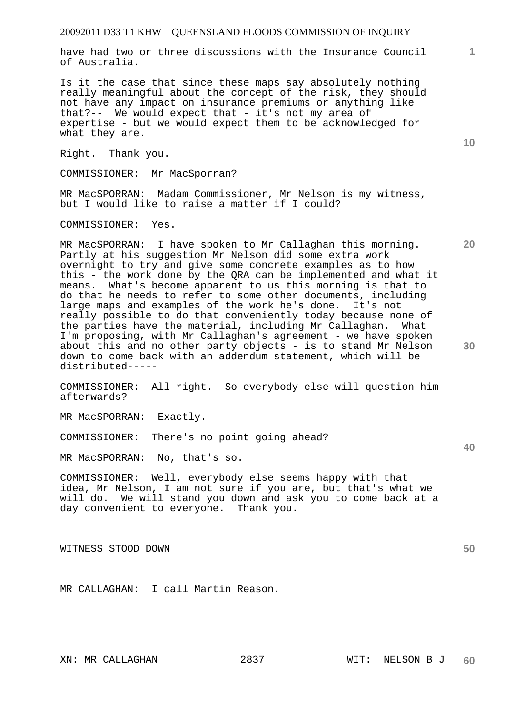have had two or three discussions with the Insurance Council of Australia.

Is it the case that since these maps say absolutely nothing really meaningful about the concept of the risk, they should not have any impact on insurance premiums or anything like that?-- We would expect that - it's not my area of expertise - but we would expect them to be acknowledged for what they are.

Right. Thank you.

COMMISSIONER: Mr MacSporran?

MR MacSPORRAN: Madam Commissioner, Mr Nelson is my witness, but I would like to raise a matter if I could?

COMMISSIONER: Yes.

MR MacSPORRAN: I have spoken to Mr Callaghan this morning. Partly at his suggestion Mr Nelson did some extra work overnight to try and give some concrete examples as to how this - the work done by the QRA can be implemented and what it means. What's become apparent to us this morning is that to do that he needs to refer to some other documents, including large maps and examples of the work he's done. It's not really possible to do that conveniently today because none of the parties have the material, including Mr Callaghan. What I'm proposing, with Mr Callaghan's agreement - we have spoken about this and no other party objects - is to stand Mr Nelson down to come back with an addendum statement, which will be distributed-----

COMMISSIONER: All right. So everybody else will question him afterwards?

MR MacSPORRAN: Exactly.

COMMISSIONER: There's no point going ahead?

MR MacSPORRAN: No, that's so.

COMMISSIONER: Well, everybody else seems happy with that idea, Mr Nelson, I am not sure if you are, but that's what we will do. We will stand you down and ask you to come back at a day convenient to everyone. Thank you.

WITNESS STOOD DOWN

MR CALLAGHAN: I call Martin Reason.

**10** 

**1**

**20** 

**30** 

**40**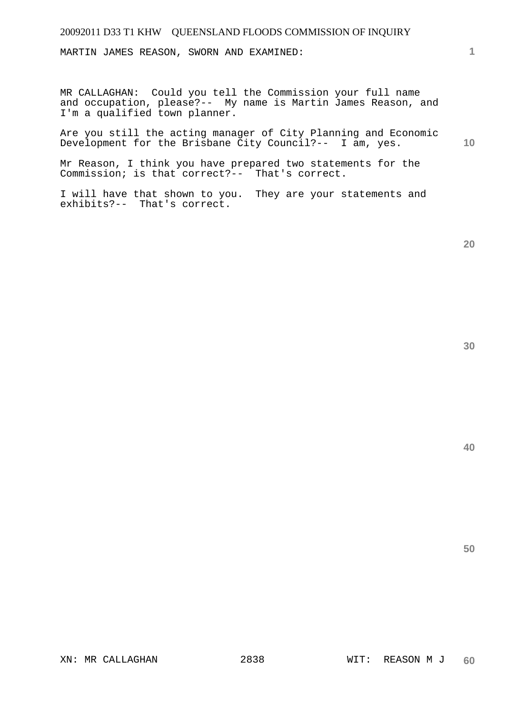MARTIN JAMES REASON, SWORN AND EXAMINED:

MR CALLAGHAN: Could you tell the Commission your full name and occupation, please?-- My name is Martin James Reason, and I'm a qualified town planner.

Are you still the acting manager of City Planning and Economic Development for the Brisbane City Council?-- I am, yes.

Mr Reason, I think you have prepared two statements for the Commission; is that correct?-- That's correct.

I will have that shown to you. They are your statements and exhibits?-- That's correct.

**20** 

**40** 

**50** 

**1**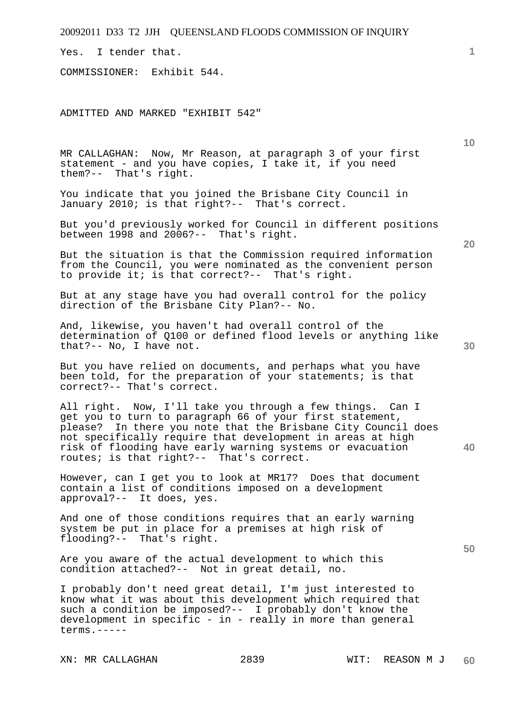Yes. I tender that.

COMMISSIONER: Exhibit 544.

ADMITTED AND MARKED "EXHIBIT 542"

MR CALLAGHAN: Now, Mr Reason, at paragraph 3 of your first statement - and you have copies, I take it, if you need them?-- That's right.

You indicate that you joined the Brisbane City Council in January 2010; is that right?-- That's correct.

But you'd previously worked for Council in different positions between 1998 and 2006?-- That's right.

But the situation is that the Commission required information from the Council, you were nominated as the convenient person to provide it; is that correct?-- That's right.

But at any stage have you had overall control for the policy direction of the Brisbane City Plan?-- No.

And, likewise, you haven't had overall control of the determination of Q100 or defined flood levels or anything like that?-- No, I have not.

But you have relied on documents, and perhaps what you have been told, for the preparation of your statements; is that correct?-- That's correct.

All right. Now, I'll take you through a few things. Can I get you to turn to paragraph 66 of your first statement, please? In there you note that the Brisbane City Council does not specifically require that development in areas at high risk of flooding have early warning systems or evacuation routes; is that right?-- That's correct.

However, can I get you to look at MR17? Does that document contain a list of conditions imposed on a development approval?-- It does, yes.

And one of those conditions requires that an early warning system be put in place for a premises at high risk of flooding?-- That's right.

Are you aware of the actual development to which this condition attached?-- Not in great detail, no.

I probably don't need great detail, I'm just interested to know what it was about this development which required that such a condition be imposed?-- I probably don't know the development in specific - in - really in more than general terms.-----

**10** 

**20** 

**1**

**50**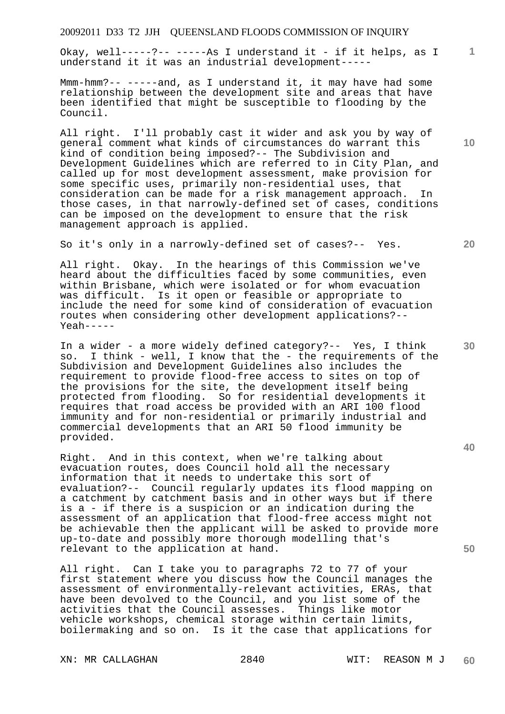Okay, well-----?-- -----As I understand it - if it helps, as I understand it it was an industrial development-----

Mmm-hmm?-- -----and, as I understand it, it may have had some relationship between the development site and areas that have been identified that might be susceptible to flooding by the Council.

All right. I'll probably cast it wider and ask you by way of general comment what kinds of circumstances do warrant this kind of condition being imposed?-- The Subdivision and Development Guidelines which are referred to in City Plan, and called up for most development assessment, make provision for some specific uses, primarily non-residential uses, that consideration can be made for a risk management approach. In those cases, in that narrowly-defined set of cases, conditions can be imposed on the development to ensure that the risk management approach is applied.

So it's only in a narrowly-defined set of cases?-- Yes.

All right. Okay. In the hearings of this Commission we've heard about the difficulties faced by some communities, even within Brisbane, which were isolated or for whom evacuation was difficult. Is it open or feasible or appropriate to include the need for some kind of consideration of evacuation routes when considering other development applications?-- Yeah-----

In a wider - a more widely defined category?-- Yes, I think so. I think - well, I know that the - the requirements of the Subdivision and Development Guidelines also includes the requirement to provide flood-free access to sites on top of the provisions for the site, the development itself being protected from flooding. So for residential developments it requires that road access be provided with an ARI 100 flood immunity and for non-residential or primarily industrial and commercial developments that an ARI 50 flood immunity be provided.

Right. And in this context, when we're talking about evacuation routes, does Council hold all the necessary information that it needs to undertake this sort of evaluation?-- Council regularly updates its flood mapping on a catchment by catchment basis and in other ways but if there is a - if there is a suspicion or an indication during the assessment of an application that flood-free access might not be achievable then the applicant will be asked to provide more up-to-date and possibly more thorough modelling that's relevant to the application at hand.

All right. Can I take you to paragraphs 72 to 77 of your first statement where you discuss how the Council manages the assessment of environmentally-relevant activities, ERAs, that have been devolved to the Council, and you list some of the activities that the Council assesses. Things like motor vehicle workshops, chemical storage within certain limits, boilermaking and so on. Is it the case that applications for

**10** 

**20** 

**1**

**30** 

**40**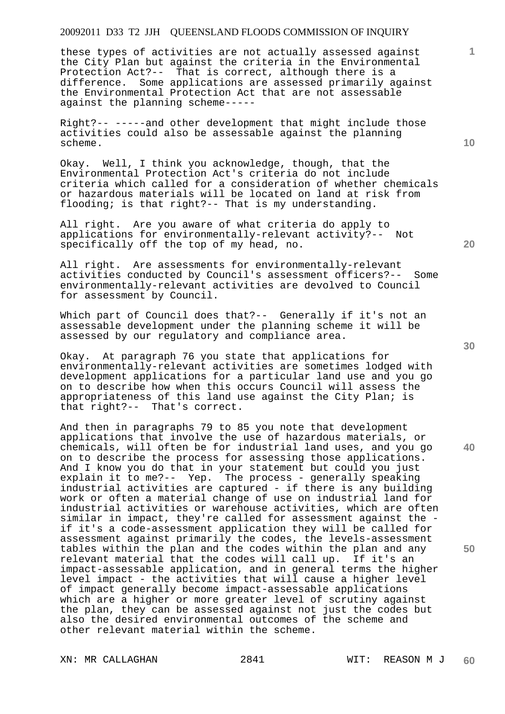these types of activities are not actually assessed against the City Plan but against the criteria in the Environmental Protection Act?-- That is correct, although there is a difference. Some applications are assessed primarily against the Environmental Protection Act that are not assessable against the planning scheme-----

Right?-- -----and other development that might include those activities could also be assessable against the planning scheme.

Okay. Well, I think you acknowledge, though, that the Environmental Protection Act's criteria do not include criteria which called for a consideration of whether chemicals or hazardous materials will be located on land at risk from flooding; is that right?-- That is my understanding.

All right. Are you aware of what criteria do apply to applications for environmentally-relevant activity?-- Not specifically off the top of my head, no.

All right. Are assessments for environmentally-relevant activities conducted by Council's assessment officers?-- Some environmentally-relevant activities are devolved to Council for assessment by Council.

Which part of Council does that?-- Generally if it's not an assessable development under the planning scheme it will be assessed by our regulatory and compliance area.

Okay. At paragraph 76 you state that applications for environmentally-relevant activities are sometimes lodged with development applications for a particular land use and you go on to describe how when this occurs Council will assess the appropriateness of this land use against the City Plan; is that right?-- That's correct.

And then in paragraphs 79 to 85 you note that development applications that involve the use of hazardous materials, or chemicals, will often be for industrial land uses, and you go on to describe the process for assessing those applications. And I know you do that in your statement but could you just explain it to me?-- Yep. The process - generally speaking industrial activities are captured - if there is any building work or often a material change of use on industrial land for industrial activities or warehouse activities, which are often similar in impact, they're called for assessment against the if it's a code-assessment application they will be called for assessment against primarily the codes, the levels-assessment tables within the plan and the codes within the plan and any relevant material that the codes will call up. If it's an impact-assessable application, and in general terms the higher level impact - the activities that will cause a higher level of impact generally become impact-assessable applications which are a higher or more greater level of scrutiny against the plan, they can be assessed against not just the codes but also the desired environmental outcomes of the scheme and other relevant material within the scheme.

XN: MR CALLAGHAN 2841 WIT: REASON M J

**10** 

**1**

**40**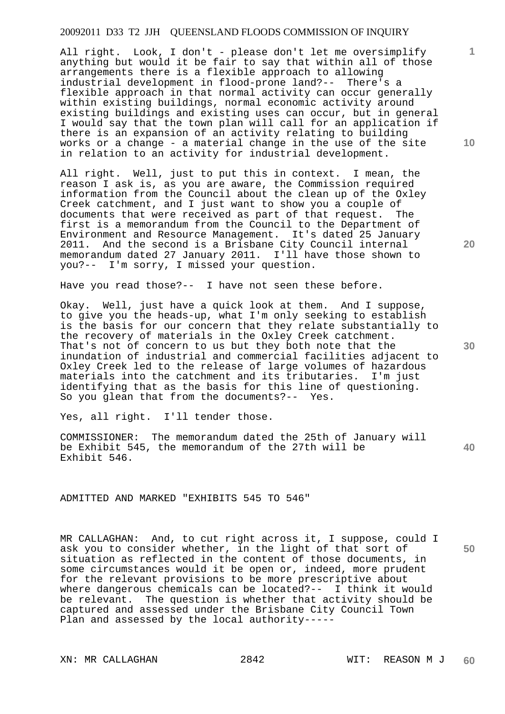All right. Look, I don't - please don't let me oversimplify anything but would it be fair to say that within all of those arrangements there is a flexible approach to allowing industrial development in flood-prone land?-- There's a flexible approach in that normal activity can occur generally within existing buildings, normal economic activity around existing buildings and existing uses can occur, but in general I would say that the town plan will call for an application if there is an expansion of an activity relating to building works or a change - a material change in the use of the site in relation to an activity for industrial development.

All right. Well, just to put this in context. I mean, the reason I ask is, as you are aware, the Commission required information from the Council about the clean up of the Oxley Creek catchment, and I just want to show you a couple of documents that were received as part of that request. The first is a memorandum from the Council to the Department of Environment and Resource Management. It's dated 25 January 2011. And the second is a Brisbane City Council internal memorandum dated 27 January 2011. I'll have those shown to you?-- I'm sorry, I missed your question.

Have you read those?-- I have not seen these before.

Okay. Well, just have a quick look at them. And I suppose, to give you the heads-up, what I'm only seeking to establish is the basis for our concern that they relate substantially to the recovery of materials in the Oxley Creek catchment. That's not of concern to us but they both note that the inundation of industrial and commercial facilities adjacent to Oxley Creek led to the release of large volumes of hazardous<br>materials into the catchment and its tributaries. I'm just materials into the catchment and its tributaries. identifying that as the basis for this line of questioning. So you glean that from the documents?-- Yes.

Yes, all right. I'll tender those.

COMMISSIONER: The memorandum dated the 25th of January will be Exhibit 545, the memorandum of the 27th will be Exhibit 546.

ADMITTED AND MARKED "EXHIBITS 545 TO 546"

MR CALLAGHAN: And, to cut right across it, I suppose, could I ask you to consider whether, in the light of that sort of situation as reflected in the content of those documents, in some circumstances would it be open or, indeed, more prudent for the relevant provisions to be more prescriptive about where dangerous chemicals can be located?-- I think it would be relevant. The question is whether that activity should be captured and assessed under the Brisbane City Council Town Plan and assessed by the local authority-----

XN: MR CALLAGHAN 2842 WIT: REASON M J

**20** 

**10** 

**1**

**30** 

**50**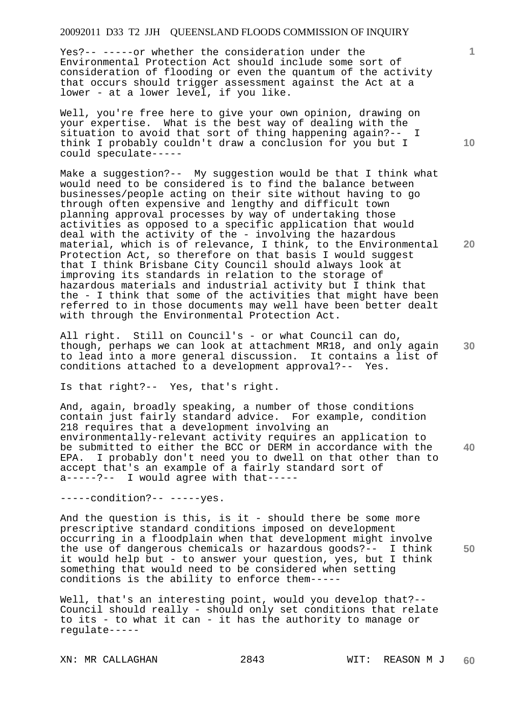Yes?-- -----or whether the consideration under the Environmental Protection Act should include some sort of consideration of flooding or even the quantum of the activity that occurs should trigger assessment against the Act at a lower - at a lower level, if you like.

Well, you're free here to give your own opinion, drawing on your expertise. What is the best way of dealing with the situation to avoid that sort of thing happening again?-- I think I probably couldn't draw a conclusion for you but I could speculate-----

Make a suggestion?-- My suggestion would be that I think what would need to be considered is to find the balance between businesses/people acting on their site without having to go through often expensive and lengthy and difficult town planning approval processes by way of undertaking those activities as opposed to a specific application that would deal with the activity of the - involving the hazardous material, which is of relevance, I think, to the Environmental Protection Act, so therefore on that basis I would suqqest that I think Brisbane City Council should always look at improving its standards in relation to the storage of hazardous materials and industrial activity but I think that the - I think that some of the activities that might have been referred to in those documents may well have been better dealt with through the Environmental Protection Act.

**30**  All right. Still on Council's - or what Council can do, though, perhaps we can look at attachment MR18, and only again to lead into a more general discussion. It contains a list of conditions attached to a development approval?-- Yes.

Is that right?-- Yes, that's right.

**40**  And, again, broadly speaking, a number of those conditions contain just fairly standard advice. For example, condition 218 requires that a development involving an environmentally-relevant activity requires an application to be submitted to either the BCC or DERM in accordance with the EPA. I probably don't need you to dwell on that other than to accept that's an example of a fairly standard sort of a-----?-- I would agree with that-----

-----condition?-- -----yes.

And the question is this, is it - should there be some more prescriptive standard conditions imposed on development occurring in a floodplain when that development might involve the use of dangerous chemicals or hazardous goods?-- I think it would help but - to answer your question, yes, but I think something that would need to be considered when setting conditions is the ability to enforce them-----

Well, that's an interesting point, would you develop that?-- Council should really - should only set conditions that relate to its - to what it can - it has the authority to manage or regulate-----

XN: MR CALLAGHAN 2843 WIT: REASON M J

**10** 

**20** 

**1**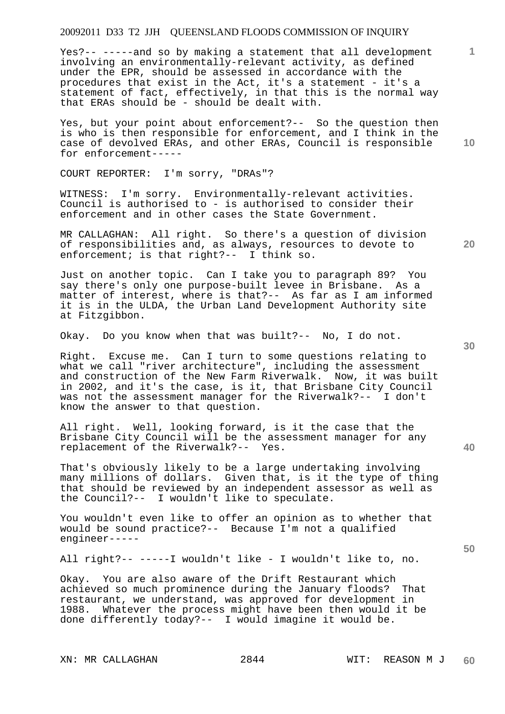Yes?-- -----and so by making a statement that all development involving an environmentally-relevant activity, as defined under the EPR, should be assessed in accordance with the procedures that exist in the Act, it's a statement - it's a statement of fact, effectively, in that this is the normal way that ERAs should be - should be dealt with.

Yes, but your point about enforcement?-- So the question then is who is then responsible for enforcement, and I think in the case of devolved ERAs, and other ERAs, Council is responsible for enforcement-----

COURT REPORTER: I'm sorry, "DRAs"?

WITNESS: I'm sorry. Environmentally-relevant activities. Council is authorised to - is authorised to consider their enforcement and in other cases the State Government.

MR CALLAGHAN: All right. So there's a question of division of responsibilities and, as always, resources to devote to enforcement; is that right?-- I think so.

Just on another topic. Can I take you to paragraph 89? You say there's only one purpose-built levee in Brisbane. As a matter of interest, where is that?-- As far as I am informed it is in the ULDA, the Urban Land Development Authority site at Fitzgibbon.

Okay. Do you know when that was built?-- No, I do not.

Right. Excuse me. Can I turn to some questions relating to what we call "river architecture", including the assessment and construction of the New Farm Riverwalk. Now, it was built in 2002, and it's the case, is it, that Brisbane City Council was not the assessment manager for the Riverwalk?-- I don't know the answer to that question.

All right. Well, looking forward, is it the case that the Brisbane City Council will be the assessment manager for any replacement of the Riverwalk?-- Yes.

That's obviously likely to be a large undertaking involving many millions of dollars. Given that, is it the type of thing that should be reviewed by an independent assessor as well as the Council?-- I wouldn't like to speculate.

You wouldn't even like to offer an opinion as to whether that would be sound practice?-- Because I'm not a qualified engineer-----

All right?-- -----I wouldn't like - I wouldn't like to, no.

Okay. You are also aware of the Drift Restaurant which achieved so much prominence during the January floods? That restaurant, we understand, was approved for development in 1988. Whatever the process might have been then would it be done differently today?-- I would imagine it would be.

**20** 

**10** 

**1**

**40**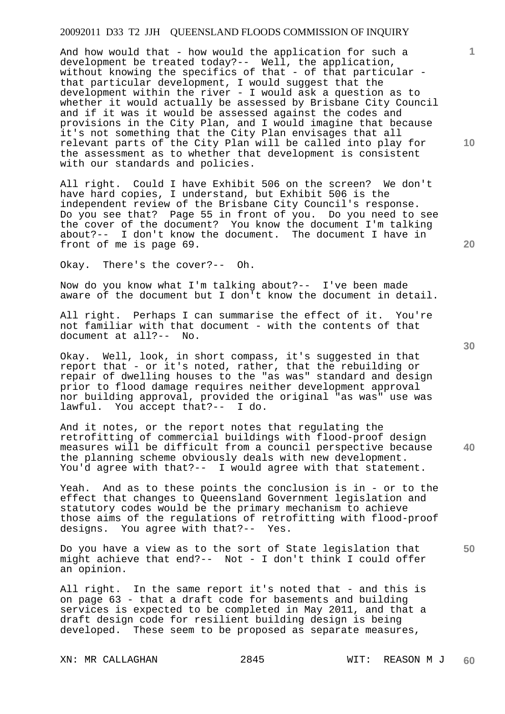And how would that - how would the application for such a development be treated today?-- Well, the application, without knowing the specifics of that - of that particular that particular development, I would suggest that the development within the river - I would ask a question as to whether it would actually be assessed by Brisbane City Council and if it was it would be assessed against the codes and provisions in the City Plan, and I would imagine that because it's not something that the City Plan envisages that all relevant parts of the City Plan will be called into play for the assessment as to whether that development is consistent with our standards and policies.

All right. Could I have Exhibit 506 on the screen? We don't have hard copies, I understand, but Exhibit 506 is the independent review of the Brisbane City Council's response. Do you see that? Page 55 in front of you. Do you need to see the cover of the document? You know the document I'm talking about?-- I don't know the document. The document I have in front of me is page 69.

Okay. There's the cover?-- Oh.

Now do you know what I'm talking about?-- I've been made aware of the document but I don't know the document in detail.

All right. Perhaps I can summarise the effect of it. You're not familiar with that document - with the contents of that document at all?-- No.

Okay. Well, look, in short compass, it's suggested in that report that - or it's noted, rather, that the rebuilding or repair of dwelling houses to the "as was" standard and design prior to flood damage requires neither development approval nor building approval, provided the original "as was" use was lawful. You accept that?-- I do.

**40**  And it notes, or the report notes that regulating the retrofitting of commercial buildings with flood-proof design measures will be difficult from a council perspective because the planning scheme obviously deals with new development. You'd agree with that?-- I would agree with that statement.

Yeah. And as to these points the conclusion is in - or to the effect that changes to Queensland Government legislation and statutory codes would be the primary mechanism to achieve those aims of the regulations of retrofitting with flood-proof designs. You agree with that?-- Yes.

Do you have a view as to the sort of State legislation that might achieve that end?-- Not - I don't think I could offer an opinion.

All right. In the same report it's noted that - and this is on page 63 - that a draft code for basements and building services is expected to be completed in May 2011, and that a draft design code for resilient building design is being developed. These seem to be proposed as separate measures,

**20** 

**10** 

**1**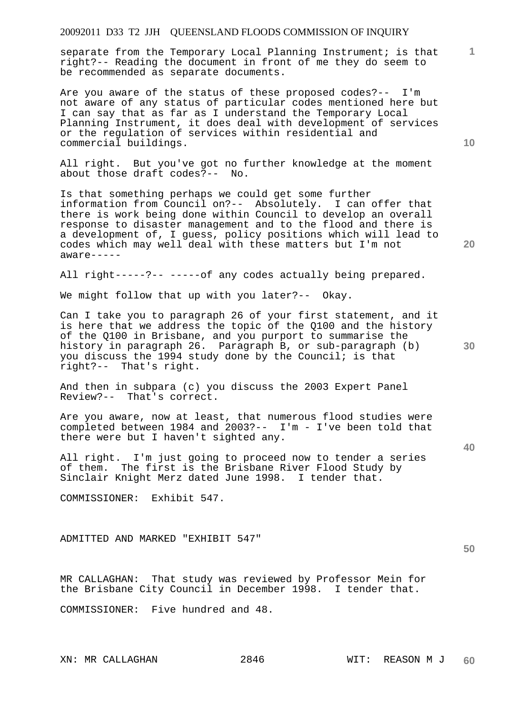separate from the Temporary Local Planning Instrument; is that right?-- Reading the document in front of me they do seem to be recommended as separate documents.

Are you aware of the status of these proposed codes?-- I'm not aware of any status of particular codes mentioned here but I can say that as far as I understand the Temporary Local Planning Instrument, it does deal with development of services or the regulation of services within residential and commercial buildings.

All right. But you've got no further knowledge at the moment about those draft codes?-- No.

Is that something perhaps we could get some further information from Council on?-- Absolutely. I can offer that there is work being done within Council to develop an overall response to disaster management and to the flood and there is a development of, I guess, policy positions which will lead to codes which may well deal with these matters but I'm not aware-----

All right-----?-- -----of any codes actually being prepared.

We might follow that up with you later?-- Okay.

Can I take you to paragraph 26 of your first statement, and it is here that we address the topic of the Q100 and the history of the Q100 in Brisbane, and you purport to summarise the history in paragraph 26. Paragraph B, or sub-paragraph (b) you discuss the 1994 study done by the Council; is that right?-- That's right.

And then in subpara (c) you discuss the 2003 Expert Panel Review?-- That's correct.

Are you aware, now at least, that numerous flood studies were completed between 1984 and 2003?-- I'm - I've been told that there were but I haven't sighted any.

All right. I'm just going to proceed now to tender a series of them. The first is the Brisbane River Flood Study by Sinclair Knight Merz dated June 1998. I tender that.

COMMISSIONER: Exhibit 547.

ADMITTED AND MARKED "EXHIBIT 547"

MR CALLAGHAN: That study was reviewed by Professor Mein for the Brisbane City Council in December 1998. I tender that.

COMMISSIONER: Five hundred and 48.

**30** 

**20** 

**10** 

**1**

**40**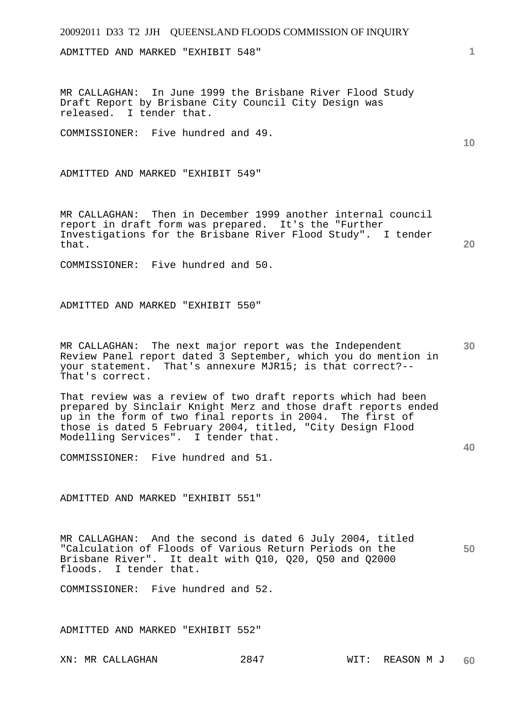ADMITTED AND MARKED "EXHIBIT 548"

MR CALLAGHAN: In June 1999 the Brisbane River Flood Study Draft Report by Brisbane City Council City Design was released. I tender that.

COMMISSIONER: Five hundred and 49.

ADMITTED AND MARKED "EXHIBIT 549"

MR CALLAGHAN: Then in December 1999 another internal council report in draft form was prepared. It's the "Further Investigations for the Brisbane River Flood Study". I tender that.

COMMISSIONER: Five hundred and 50.

ADMITTED AND MARKED "EXHIBIT 550"

**30**  MR CALLAGHAN: The next major report was the Independent Review Panel report dated 3 September, which you do mention in your statement. That's annexure MJR15; is that correct?-- That's correct.

That review was a review of two draft reports which had been prepared by Sinclair Knight Merz and those draft reports ended up in the form of two final reports in 2004. The first of those is dated 5 February 2004, titled, "City Design Flood Modelling Services". I tender that.

COMMISSIONER: Five hundred and 51.

ADMITTED AND MARKED "EXHIBIT 551"

MR CALLAGHAN: And the second is dated 6 July 2004, titled "Calculation of Floods of Various Return Periods on the Brisbane River". It dealt with Q10, Q20, Q50 and Q2000 floods. I tender that.

COMMISSIONER: Five hundred and 52.

ADMITTED AND MARKED "EXHIBIT 552"

**1**

**10** 

**20** 

**40**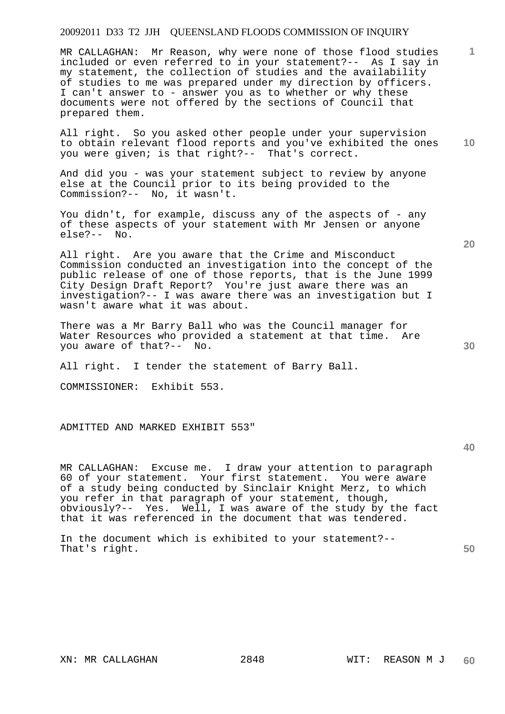MR CALLAGHAN: Mr Reason, why were none of those flood studies included or even referred to in your statement?-- As I say in my statement, the collection of studies and the availability of studies to me was prepared under my direction by officers. I can't answer to - answer you as to whether or why these documents were not offered by the sections of Council that prepared them.

All right. So you asked other people under your supervision to obtain relevant flood reports and you've exhibited the ones you were given; is that right?-- That's correct.

And did you - was your statement subject to review by anyone else at the Council prior to its being provided to the Commission?-- No, it wasn't.

You didn't, for example, discuss any of the aspects of - any of these aspects of your statement with Mr Jensen or anyone else?-- No.

All right. Are you aware that the Crime and Misconduct Commission conducted an investigation into the concept of the public release of one of those reports, that is the June 1999 City Design Draft Report? You're just aware there was an investigation?-- I was aware there was an investigation but I wasn't aware what it was about.

There was a Mr Barry Ball who was the Council manager for Water Resources who provided a statement at that time. Are you aware of that?-- No.

All right. I tender the statement of Barry Ball.

COMMISSIONER: Exhibit 553.

ADMITTED AND MARKED EXHIBIT 553"

**40** 

MR CALLAGHAN: Excuse me. I draw your attention to paragraph 60 of your statement. Your first statement. You were aware of a study being conducted by Sinclair Knight Merz, to which you refer in that paragraph of your statement, though,  $obviously? -- Yes. Well, I was aware of the study by the fact$ that it was referenced in the document that was tendered.

**50**  In the document which is exhibited to your statement?-- That's right.

**20** 

**30** 

**10**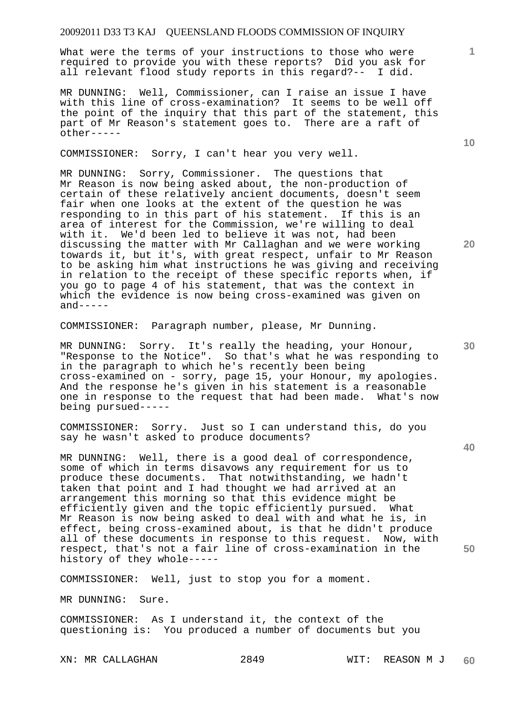What were the terms of your instructions to those who were required to provide you with these reports? Did you ask for all relevant flood study reports in this regard?-- I did.

MR DUNNING: Well, Commissioner, can I raise an issue I have with this line of cross-examination? It seems to be well off the point of the inquiry that this part of the statement, this part of Mr Reason's statement goes to. There are a raft of other-----

COMMISSIONER: Sorry, I can't hear you very well.

MR DUNNING: Sorry, Commissioner. The questions that Mr Reason is now being asked about, the non-production of certain of these relatively ancient documents, doesn't seem fair when one looks at the extent of the question he was responding to in this part of his statement. If this is an area of interest for the Commission, we're willing to deal with it. We'd been led to believe it was not, had been discussing the matter with Mr Callaghan and we were working towards it, but it's, with great respect, unfair to Mr Reason to be asking him what instructions he was giving and receiving in relation to the receipt of these specific reports when, if you go to page 4 of his statement, that was the context in which the evidence is now being cross-examined was given on  $and----$ 

COMMISSIONER: Paragraph number, please, Mr Dunning.

MR DUNNING: Sorry. It's really the heading, your Honour, "Response to the Notice". So that's what he was responding to in the paragraph to which he's recently been being cross-examined on - sorry, page 15, your Honour, my apologies. And the response he's given in his statement is a reasonable one in response to the request that had been made. What's now being pursued-----

COMMISSIONER: Sorry. Just so I can understand this, do you say he wasn't asked to produce documents?

MR DUNNING: Well, there is a good deal of correspondence, some of which in terms disavows any requirement for us to produce these documents. That notwithstanding, we hadn't taken that point and I had thought we had arrived at an arrangement this morning so that this evidence might be efficiently given and the topic efficiently pursued. What Mr Reason is now being asked to deal with and what he is, in effect, being cross-examined about, is that he didn't produce all of these documents in response to this request. Now, with respect, that's not a fair line of cross-examination in the history of they whole-----

COMMISSIONER: Well, just to stop you for a moment.

MR DUNNING: Sure.

COMMISSIONER: As I understand it, the context of the questioning is: You produced a number of documents but you

**20** 

**1**

**30** 

**40**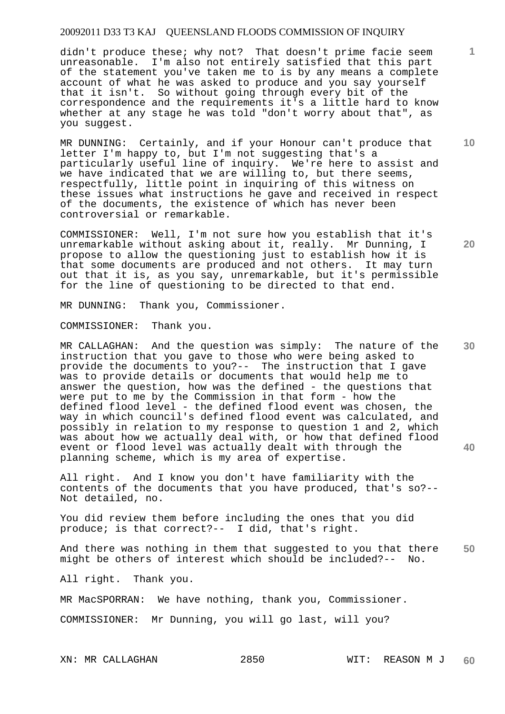didn't produce these; why not? That doesn't prime facie seem unreasonable. I'm also not entirely satisfied that this part of the statement you've taken me to is by any means a complete account of what he was asked to produce and you say yourself that it isn't. So without going through every bit of the correspondence and the requirements it's a little hard to know whether at any stage he was told "don't worry about that", as you suggest.

MR DUNNING: Certainly, and if your Honour can't produce that letter I'm happy to, but I'm not suggesting that's a particularly useful line of inquiry. We're here to assist and we have indicated that we are willing to, but there seems, respectfully, little point in inquiring of this witness on these issues what instructions he gave and received in respect of the documents, the existence of which has never been controversial or remarkable.

COMMISSIONER: Well, I'm not sure how you establish that it's unremarkable without asking about it, really. Mr Dunning, I propose to allow the questioning just to establish how it is that some documents are produced and not others. It may turn out that it is, as you say, unremarkable, but it's permissible for the line of questioning to be directed to that end.

MR DUNNING: Thank you, Commissioner.

COMMISSIONER: Thank you.

**30 40**  MR CALLAGHAN: And the question was simply: The nature of the instruction that you gave to those who were being asked to provide the documents to you?-- The instruction that I gave was to provide details or documents that would help me to answer the question, how was the defined - the questions that were put to me by the Commission in that form - how the defined flood level - the defined flood event was chosen, the way in which council's defined flood event was calculated, and possibly in relation to my response to question 1 and 2, which was about how we actually deal with, or how that defined flood event or flood level was actually dealt with through the planning scheme, which is my area of expertise.

All right. And I know you don't have familiarity with the contents of the documents that you have produced, that's so?-- Not detailed, no.

You did review them before including the ones that you did produce; is that correct?-- I did, that's right.

**50**  And there was nothing in them that suggested to you that there might be others of interest which should be included?-- No.

All right. Thank you.

MR MacSPORRAN: We have nothing, thank you, Commissioner.

COMMISSIONER: Mr Dunning, you will go last, will you?

**1**

**10**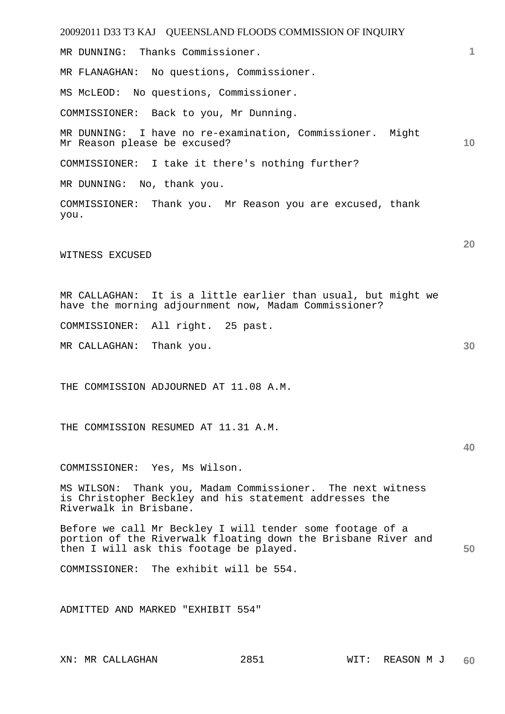20092011 D33 T3 KAJ QUEENSLAND FLOODS COMMISSION OF INQUIRY **1 10 20 30 40 50**  MR DUNNING: Thanks Commissioner. MR FLANAGHAN: No questions, Commissioner. MS McLEOD: No questions, Commissioner. COMMISSIONER: Back to you, Mr Dunning. MR DUNNING: I have no re-examination, Commissioner. Might Mr Reason please be excused? COMMISSIONER: I take it there's nothing further? MR DUNNING: No, thank you. COMMISSIONER: Thank you. Mr Reason you are excused, thank you. WITNESS EXCUSED MR CALLAGHAN: It is a little earlier than usual, but might we have the morning adjournment now, Madam Commissioner? COMMISSIONER: All right. 25 past. MR CALLAGHAN: Thank you. THE COMMISSION ADJOURNED AT 11.08 A.M. THE COMMISSION RESUMED AT 11.31 A.M. COMMISSIONER: Yes, Ms Wilson. MS WILSON: Thank you, Madam Commissioner. The next witness is Christopher Beckley and his statement addresses the Riverwalk in Brisbane. Before we call Mr Beckley I will tender some footage of a portion of the Riverwalk floating down the Brisbane River and then I will ask this footage be played. COMMISSIONER: The exhibit will be 554.

ADMITTED AND MARKED "EXHIBIT 554"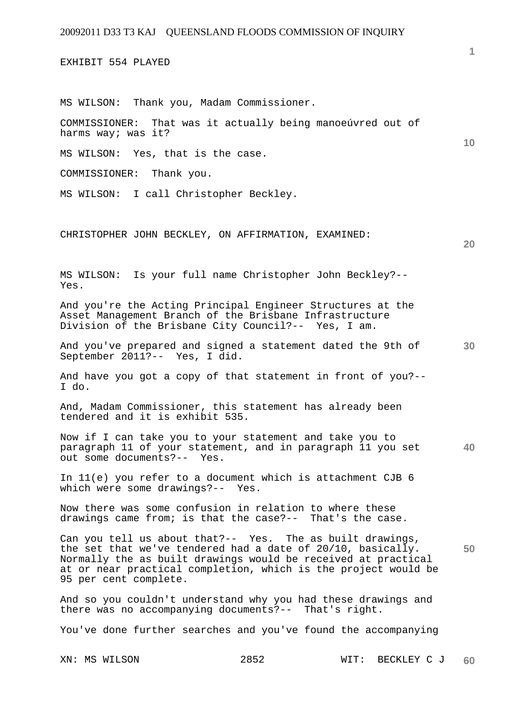EXHIBIT 554 PLAYED

MS WILSON: Thank you, Madam Commissioner.

COMMISSIONER: That was it actually being manoeúvred out of harms way; was it?

MS WILSON: Yes, that is the case.

COMMISSIONER: Thank you.

MS WILSON: I call Christopher Beckley.

CHRISTOPHER JOHN BECKLEY, ON AFFIRMATION, EXAMINED:

MS WILSON: Is your full name Christopher John Beckley?-- Yes.

And you're the Acting Principal Engineer Structures at the Asset Management Branch of the Brisbane Infrastructure Division of the Brisbane City Council?-- Yes, I am.

**30**  And you've prepared and signed a statement dated the 9th of September 2011?-- Yes, I did.

And have you got a copy of that statement in front of you?-- I do.

And, Madam Commissioner, this statement has already been tendered and it is exhibit 535.

**40**  Now if I can take you to your statement and take you to paragraph 11 of your statement, and in paragraph 11 you set out some documents?-- Yes.

In 11(e) you refer to a document which is attachment CJB 6 which were some drawings?-- Yes.

Now there was some confusion in relation to where these drawings came from; is that the case?-- That's the case.

**50**  Can you tell us about that?-- Yes. The as built drawings, the set that we've tendered had a date of 20/10, basically. Normally the as built drawings would be received at practical at or near practical completion, which is the project would be 95 per cent complete.

And so you couldn't understand why you had these drawings and there was no accompanying documents?-- That's right.

You've done further searches and you've found the accompanying

**10**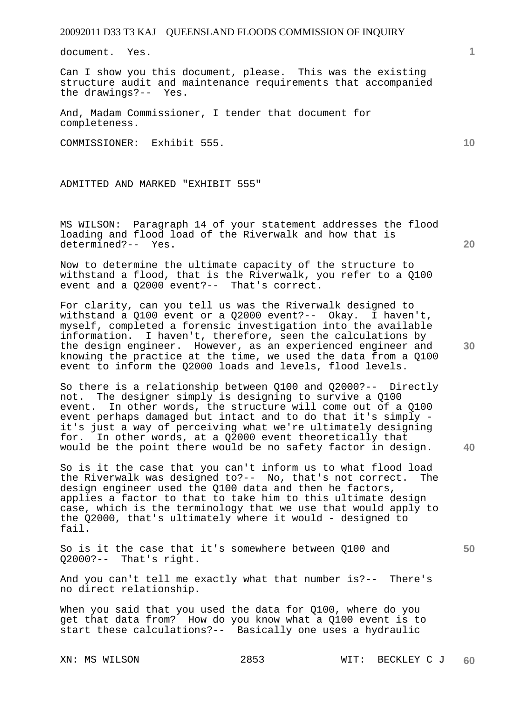document. Yes.

Can I show you this document, please. This was the existing structure audit and maintenance requirements that accompanied the drawings?-- Yes.

And, Madam Commissioner, I tender that document for completeness.

COMMISSIONER: Exhibit 555.

ADMITTED AND MARKED "EXHIBIT 555"

MS WILSON: Paragraph 14 of your statement addresses the flood loading and flood load of the Riverwalk and how that is determined?-- Yes.

Now to determine the ultimate capacity of the structure to withstand a flood, that is the Riverwalk, you refer to a Q100 event and a Q2000 event?-- That's correct.

For clarity, can you tell us was the Riverwalk designed to withstand a Q100 event or a Q2000 event?-- Okay. I haven't, myself, completed a forensic investigation into the available information. I haven't, therefore, seen the calculations by the design engineer. However, as an experienced engineer and knowing the practice at the time, we used the data from a Q100 event to inform the Q2000 loads and levels, flood levels.

So there is a relationship between Q100 and Q2000?-- Directly not. The designer simply is designing to survive a Q100 event. In other words, the structure will come out of a Q100 event perhaps damaged but intact and to do that it's simply it's just a way of perceiving what we're ultimately designing<br>for. In other words, at a 02000 event theoretically that In other words, at a Q2000 event theoretically that would be the point there would be no safety factor in design.

So is it the case that you can't inform us to what flood load the Riverwalk was designed to?-- No, that's not correct. The design engineer used the Q100 data and then he factors, applies a factor to that to take him to this ultimate design case, which is the terminology that we use that would apply to the Q2000, that's ultimately where it would - designed to fail.

So is it the case that it's somewhere between Q100 and Q2000?-- That's right.

And you can't tell me exactly what that number is?-- There's no direct relationship.

When you said that you used the data for Q100, where do you get that data from? How do you know what a Q100 event is to start these calculations?-- Basically one uses a hydraulic

**10** 

**1**

**20** 

**30**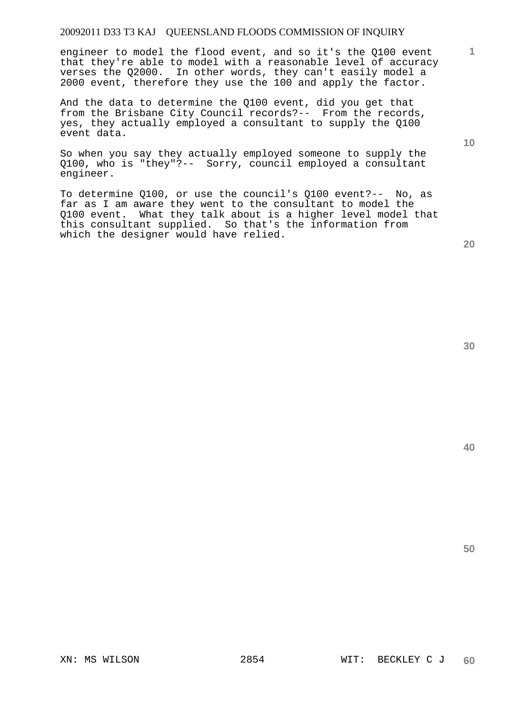engineer to model the flood event, and so it's the Q100 event that they're able to model with a reasonable level of accuracy verses the Q2000. In other words, they can't easily model a 2000 event, therefore they use the 100 and apply the factor.

And the data to determine the Q100 event, did you get that from the Brisbane City Council records?-- From the records, yes, they actually employed a consultant to supply the Q100 event data.

So when you say they actually employed someone to supply the Q100, who is "they"?-- Sorry, council employed a consultant engineer.

To determine Q100, or use the council's Q100 event?-- No, as far as I am aware they went to the consultant to model the Q100 event. What they talk about is a higher level model that this consultant supplied. So that's the information from which the designer would have relied.

**30** 

**20** 

**50** 

**1**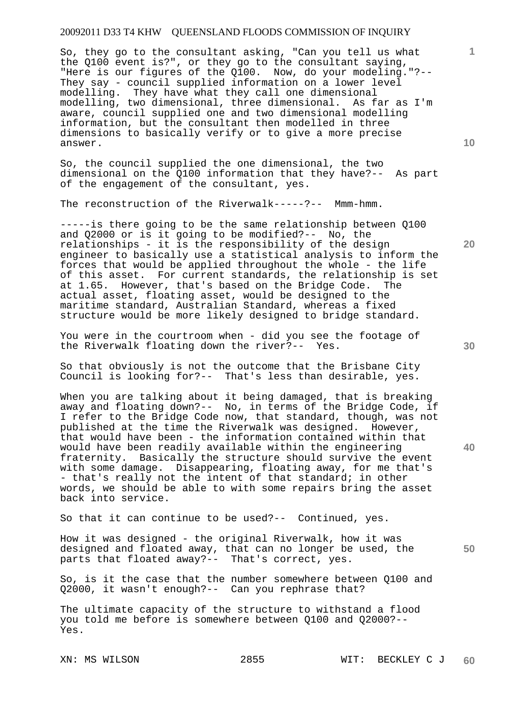So, they go to the consultant asking, "Can you tell us what the Q100 event is?", or they go to the consultant saying, "Here is our figures of the Q100. Now, do your modeling."?--They say - council supplied information on a lower level modelling. They have what they call one dimensional modelling, two dimensional, three dimensional. As far as I'm aware, council supplied one and two dimensional modelling information, but the consultant then modelled in three dimensions to basically verify or to give a more precise answer.

So, the council supplied the one dimensional, the two dimensional on the Q100 information that they have?-- As part of the engagement of the consultant, yes.

The reconstruction of the Riverwalk-----?-- Mmm-hmm.

-----is there going to be the same relationship between Q100 and Q2000 or is it going to be modified?-- No, the relationships - it is the responsibility of the design engineer to basically use a statistical analysis to inform the forces that would be applied throughout the whole - the life of this asset. For current standards, the relationship is set at 1.65. However, that's based on the Bridge Code. The actual asset, floating asset, would be designed to the maritime standard, Australian Standard, whereas a fixed structure would be more likely designed to bridge standard.

You were in the courtroom when - did you see the footage of the Riverwalk floating down the river?-- Yes.

So that obviously is not the outcome that the Brisbane City Council is looking for?-- That's less than desirable, yes.

When you are talking about it being damaged, that is breaking away and floating down?-- No, in terms of the Bridge Code, if I refer to the Bridge Code now, that standard, though, was not published at the time the Riverwalk was designed. However, that would have been - the information contained within that would have been readily available within the engineering fraternity. Basically the structure should survive the event with some damage. Disappearing, floating away, for me that's - that's really not the intent of that standard; in other words, we should be able to with some repairs bring the asset back into service.

So that it can continue to be used?-- Continued, yes.

How it was designed - the original Riverwalk, how it was designed and floated away, that can no longer be used, the parts that floated away?-- That's correct, yes.

So, is it the case that the number somewhere between Q100 and Q2000, it wasn't enough?-- Can you rephrase that?

The ultimate capacity of the structure to withstand a flood you told me before is somewhere between Q100 and Q2000?-- Yes.

**20** 

**40** 

**10** 

**1**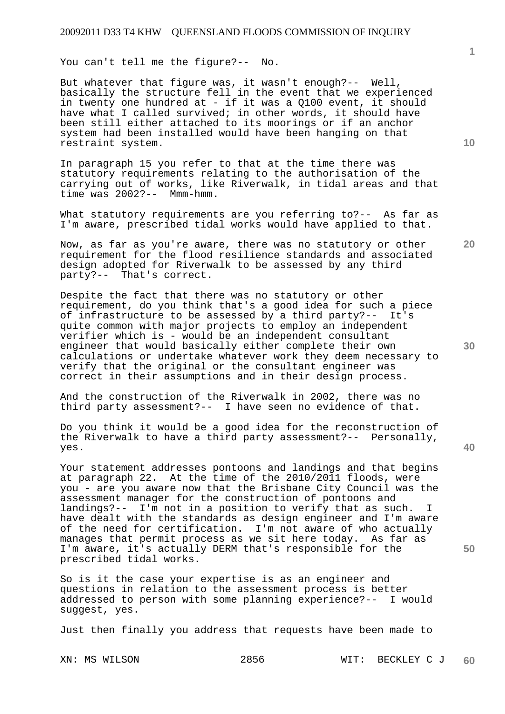You can't tell me the figure?-- No.

But whatever that figure was, it wasn't enough?-- Well, basically the structure fell in the event that we experienced in twenty one hundred at - if it was a Q100 event, it should have what I called survived; in other words, it should have been still either attached to its moorings or if an anchor system had been installed would have been hanging on that restraint system.

In paragraph 15 you refer to that at the time there was statutory requirements relating to the authorisation of the carrying out of works, like Riverwalk, in tidal areas and that time was 2002?-- Mmm-hmm.

What statutory requirements are you referring to?-- As far as I'm aware, prescribed tidal works would have applied to that.

Now, as far as you're aware, there was no statutory or other requirement for the flood resilience standards and associated design adopted for Riverwalk to be assessed by any third party?-- That's correct.

Despite the fact that there was no statutory or other requirement, do you think that's a good idea for such a piece of infrastructure to be assessed by a third party?-- It's quite common with major projects to employ an independent verifier which is - would be an independent consultant engineer that would basically either complete their own calculations or undertake whatever work they deem necessary to verify that the original or the consultant engineer was correct in their assumptions and in their design process.

And the construction of the Riverwalk in 2002, there was no third party assessment?-- I have seen no evidence of that.

Do you think it would be a good idea for the reconstruction of the Riverwalk to have a third party assessment?-- Personally, yes.

Your statement addresses pontoons and landings and that begins at paragraph 22. At the time of the 2010/2011 floods, were you - are you aware now that the Brisbane City Council was the assessment manager for the construction of pontoons and landings?-- I'm not in a position to verify that as such. I have dealt with the standards as design engineer and I'm aware of the need for certification. I'm not aware of who actually manages that permit process as we sit here today. As far as I'm aware, it's actually DERM that's responsible for the prescribed tidal works.

So is it the case your expertise is as an engineer and questions in relation to the assessment process is better addressed to person with some planning experience?-- I would suggest, yes.

Just then finally you address that requests have been made to

**10** 

**1**

**20** 

**40**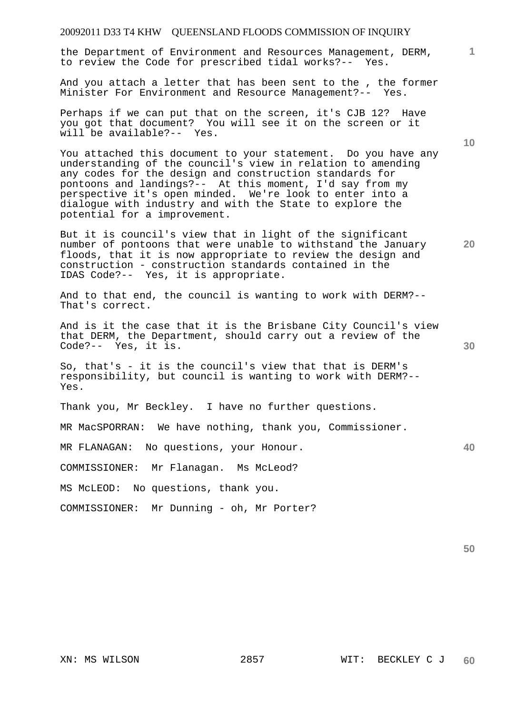the Department of Environment and Resources Management, DERM, to review the Code for prescribed tidal works?-- Yes.

And you attach a letter that has been sent to the , the former Minister For Environment and Resource Management?-- Yes.

Perhaps if we can put that on the screen, it's CJB 12? Have you got that document? You will see it on the screen or it will be available?-- Yes.

You attached this document to your statement. Do you have any understanding of the council's view in relation to amending any codes for the design and construction standards for pontoons and landings?-- At this moment, I'd say from my perspective it's open minded. We're look to enter into a dialogue with industry and with the State to explore the potential for a improvement.

But it is council's view that in light of the significant number of pontoons that were unable to withstand the January floods, that it is now appropriate to review the design and construction - construction standards contained in the IDAS Code?-- Yes, it is appropriate.

And to that end, the council is wanting to work with DERM?-- That's correct.

And is it the case that it is the Brisbane City Council's view that DERM, the Department, should carry out a review of the Code?-- Yes, it is.

So, that's - it is the council's view that that is DERM's responsibility, but council is wanting to work with DERM?-- Yes.

Thank you, Mr Beckley. I have no further questions.

MR MacSPORRAN: We have nothing, thank you, Commissioner.

MR FLANAGAN: No questions, your Honour.

COMMISSIONER: Mr Flanagan. Ms McLeod?

MS McLEOD: No questions, thank you.

COMMISSIONER: Mr Dunning - oh, Mr Porter?

**10** 

**1**

**30** 

**40**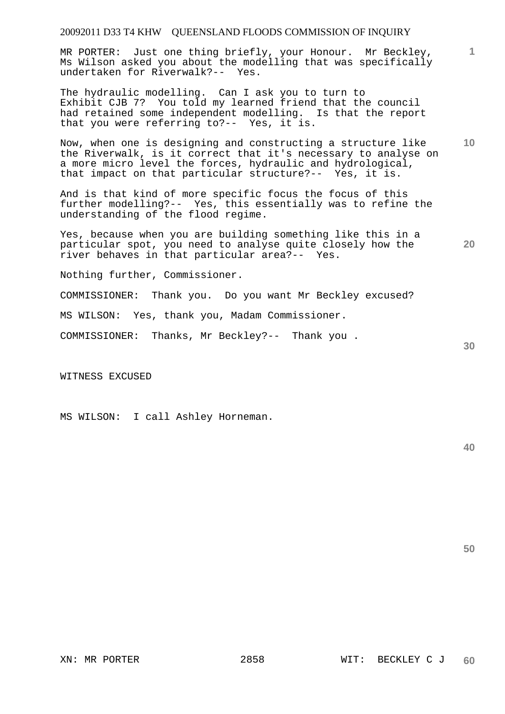MR PORTER: Just one thing briefly, your Honour. Mr Beckley, Ms Wilson asked you about the modelling that was specifically undertaken for Riverwalk?-- Yes.

The hydraulic modelling. Can I ask you to turn to Exhibit CJB 7? You told my learned friend that the council had retained some independent modelling. Is that the report that you were referring to?-- Yes, it is.

**10**  Now, when one is designing and constructing a structure like the Riverwalk, is it correct that it's necessary to analyse on a more micro level the forces, hydraulic and hydrological, that impact on that particular structure?-- Yes, it is.

And is that kind of more specific focus the focus of this further modelling?-- Yes, this essentially was to refine the understanding of the flood regime.

Yes, because when you are building something like this in a particular spot, you need to analyse quite closely how the river behaves in that particular area?-- Yes.

Nothing further, Commissioner.

COMMISSIONER: Thank you. Do you want Mr Beckley excused?

MS WILSON: Yes, thank you, Madam Commissioner.

COMMISSIONER: Thanks, Mr Beckley?-- Thank you .

WITNESS EXCUSED

MS WILSON: I call Ashley Horneman.

**40** 

**20** 

**30** 

**1**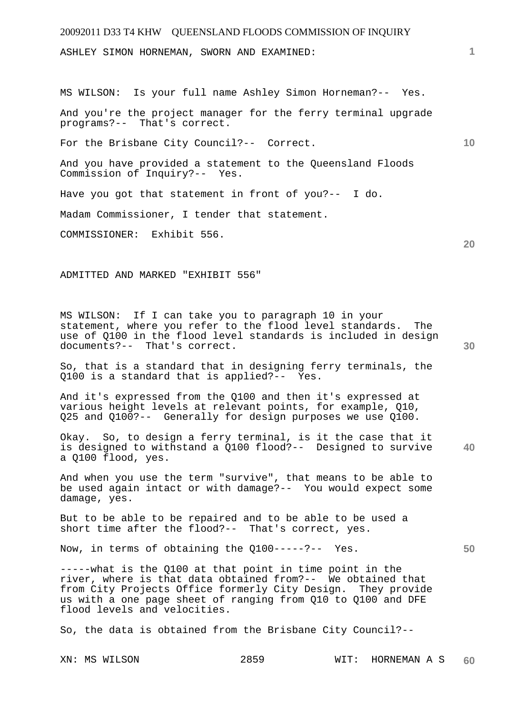# 20092011 D33 T4 KHW QUEENSLAND FLOODS COMMISSION OF INQUIRY **1 10 20 30**  ASHLEY SIMON HORNEMAN, SWORN AND EXAMINED: MS WILSON: Is your full name Ashley Simon Horneman?-- Yes. And you're the project manager for the ferry terminal upgrade programs?-- That's correct. For the Brisbane City Council?-- Correct. And you have provided a statement to the Queensland Floods Commission of Inquiry?-- Yes. Have you got that statement in front of you?-- I do. Madam Commissioner, I tender that statement. COMMISSIONER: Exhibit 556. ADMITTED AND MARKED "EXHIBIT 556" MS WILSON: If I can take you to paragraph 10 in your statement, where you refer to the flood level standards. The use of Q100 in the flood level standards is included in design documents?-- That's correct. So, that is a standard that in designing ferry terminals, the Q100 is a standard that is applied?-- Yes. And it's expressed from the Q100 and then it's expressed at various height levels at relevant points, for example, Q10, Q25 and Q100?-- Generally for design purposes we use Q100.

**40**  Okay. So, to design a ferry terminal, is it the case that it is designed to withstand a Q100 flood?-- Designed to survive a Q100 flood, yes.

And when you use the term "survive", that means to be able to be used again intact or with damage?-- You would expect some damage, yes.

But to be able to be repaired and to be able to be used a short time after the flood?-- That's correct, yes.

Now, in terms of obtaining the Q100-----?-- Yes.

-----what is the Q100 at that point in time point in the river, where is that data obtained from?-- We obtained that from City Projects Office formerly City Design. They provide us with a one page sheet of ranging from Q10 to Q100 and DFE flood levels and velocities.

So, the data is obtained from the Brisbane City Council?--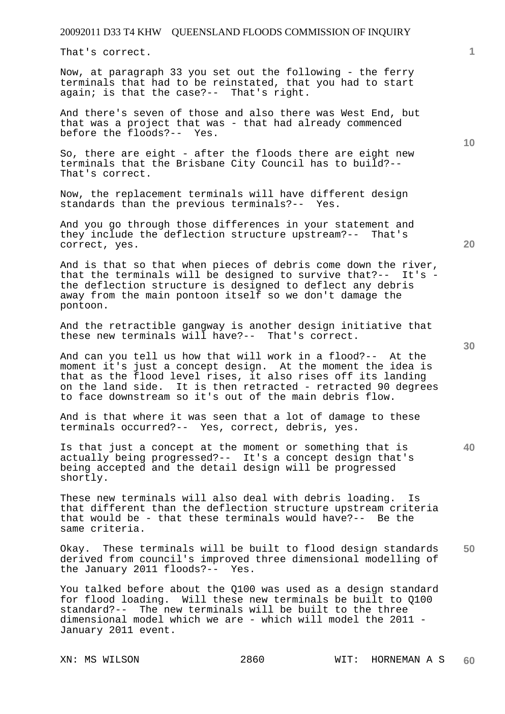That's correct.

Now, at paragraph 33 you set out the following - the ferry terminals that had to be reinstated, that you had to start again; is that the case?-- That's right.

And there's seven of those and also there was West End, but that was a project that was - that had already commenced before the floods?-- Yes.

So, there are eight - after the floods there are eight new terminals that the Brisbane City Council has to build?-- That's correct.

Now, the replacement terminals will have different design standards than the previous terminals?-- Yes.

And you go through those differences in your statement and they include the deflection structure upstream?-- That's correct, yes.

And is that so that when pieces of debris come down the river, that the terminals will be designed to survive that?-- It's the deflection structure is designed to deflect any debris away from the main pontoon itself so we don't damage the pontoon.

And the retractible gangway is another design initiative that these new terminals will have?-- That's correct.

And can you tell us how that will work in a flood?-- At the moment it's just a concept design. At the moment the idea is that as the flood level rises, it also rises off its landing on the land side. It is then retracted - retracted 90 degrees to face downstream so it's out of the main debris flow.

And is that where it was seen that a lot of damage to these terminals occurred?-- Yes, correct, debris, yes.

Is that just a concept at the moment or something that is actually being progressed?-- It's a concept design that's being accepted and the detail design will be progressed shortly.

These new terminals will also deal with debris loading. Is that different than the deflection structure upstream criteria that would be - that these terminals would have?-- Be the same criteria.

**50**  Okay. These terminals will be built to flood design standards derived from council's improved three dimensional modelling of<br>the January 2011 floods?-- Yes. the January 2011 floods?--

You talked before about the Q100 was used as a design standard for flood loading. Will these new terminals be built to Q100 standard?-- The new terminals will be built to the three dimensional model which we are - which will model the 2011 - January 2011 event.

**30** 

**40** 

**20** 

**10**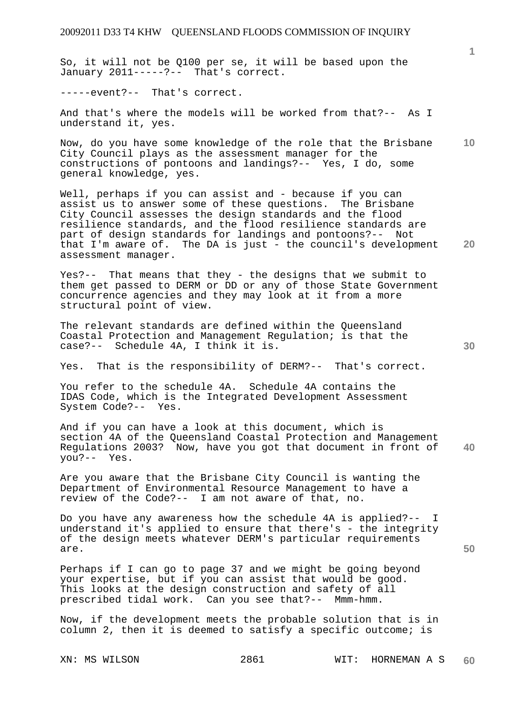So, it will not be Q100 per se, it will be based upon the January 2011-----?-- That's correct.

-----event?-- That's correct.

And that's where the models will be worked from that?-- As I understand it, yes.

**10**  Now, do you have some knowledge of the role that the Brisbane City Council plays as the assessment manager for the constructions of pontoons and landings?-- Yes, I do, some general knowledge, yes.

Well, perhaps if you can assist and - because if you can assist us to answer some of these questions. The Brisbane City Council assesses the design standards and the flood resilience standards, and the flood resilience standards are part of design standards for landings and pontoons?-- Not that I'm aware of. The DA is just - the council's development assessment manager.

Yes?-- That means that they - the designs that we submit to them get passed to DERM or DD or any of those State Government concurrence agencies and they may look at it from a more structural point of view.

The relevant standards are defined within the Queensland Coastal Protection and Management Regulation; is that the case?-- Schedule 4A, I think it is.

Yes. That is the responsibility of DERM?-- That's correct.

You refer to the schedule 4A. Schedule 4A contains the IDAS Code, which is the Integrated Development Assessment System Code?-- Yes.

**40**  And if you can have a look at this document, which is section 4A of the Queensland Coastal Protection and Management Regulations 2003? Now, have you got that document in front of you?-- Yes.

Are you aware that the Brisbane City Council is wanting the Department of Environmental Resource Management to have a review of the Code?-- I am not aware of that, no.

Do you have any awareness how the schedule 4A is applied?-- I understand it's applied to ensure that there's - the integrity of the design meets whatever DERM's particular requirements are.

Perhaps if I can go to page 37 and we might be going beyond your expertise, but if you can assist that would be good. This looks at the design construction and safety of all prescribed tidal work. Can you see that?-- Mmm-hmm.

Now, if the development meets the probable solution that is in column 2, then it is deemed to satisfy a specific outcome; is

**1**

**30** 

**50**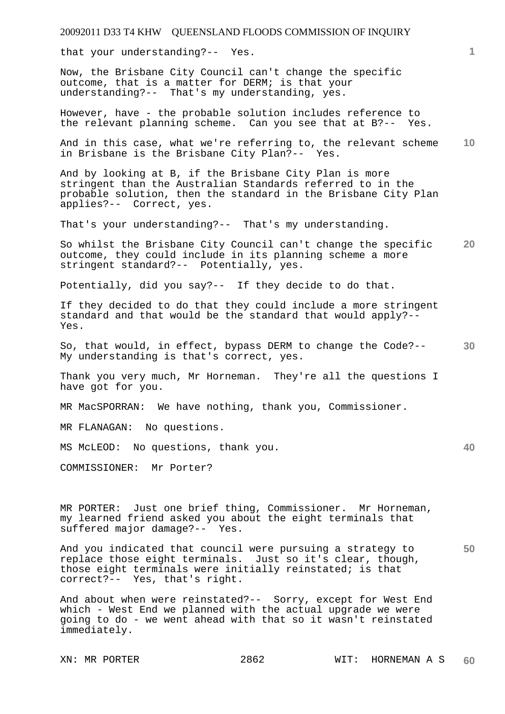that your understanding?-- Yes.

Now, the Brisbane City Council can't change the specific outcome, that is a matter for DERM; is that your understanding?-- That's my understanding, yes.

However, have - the probable solution includes reference to the relevant planning scheme. Can you see that at B?-- Yes.

**10**  And in this case, what we're referring to, the relevant scheme in Brisbane is the Brisbane City Plan?-- Yes.

And by looking at B, if the Brisbane City Plan is more stringent than the Australian Standards referred to in the probable solution, then the standard in the Brisbane City Plan applies?-- Correct, yes.

That's your understanding?-- That's my understanding.

**20**  So whilst the Brisbane City Council can't change the specific outcome, they could include in its planning scheme a more stringent standard?-- Potentially, yes.

Potentially, did you say?-- If they decide to do that.

If they decided to do that they could include a more stringent standard and that would be the standard that would apply?-- Yes.

**30**  So, that would, in effect, bypass DERM to change the Code?-- My understanding is that's correct, yes.

Thank you very much, Mr Horneman. They're all the questions I have got for you.

MR MacSPORRAN: We have nothing, thank you, Commissioner.

MR FLANAGAN: No questions.

MS McLEOD: No questions, thank you.

COMMISSIONER: Mr Porter?

MR PORTER: Just one brief thing, Commissioner. Mr Horneman, my learned friend asked you about the eight terminals that suffered major damage?-- Yes.

**50**  And you indicated that council were pursuing a strategy to replace those eight terminals. Just so it's clear, though, those eight terminals were initially reinstated; is that correct?-- Yes, that's right.

And about when were reinstated?-- Sorry, except for West End which - West End we planned with the actual upgrade we were going to do - we went ahead with that so it wasn't reinstated immediately.

**1**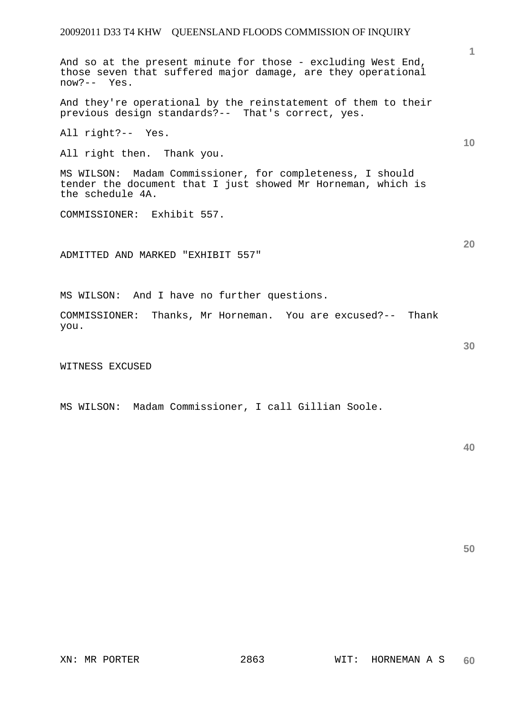And so at the present minute for those - excluding West End, those seven that suffered major damage, are they operational now?-- Yes.

And they're operational by the reinstatement of them to their previous design standards?-- That's correct, yes.

All right?-- Yes.

All right then. Thank you.

MS WILSON: Madam Commissioner, for completeness, I should tender the document that I just showed Mr Horneman, which is the schedule 4A.

COMMISSIONER: Exhibit 557.

ADMITTED AND MARKED "EXHIBIT 557"

MS WILSON: And I have no further questions.

COMMISSIONER: Thanks, Mr Horneman. You are excused?-- Thank you.

WITNESS EXCUSED

MS WILSON: Madam Commissioner, I call Gillian Soole.

**50** 

**10** 

**1**

**20**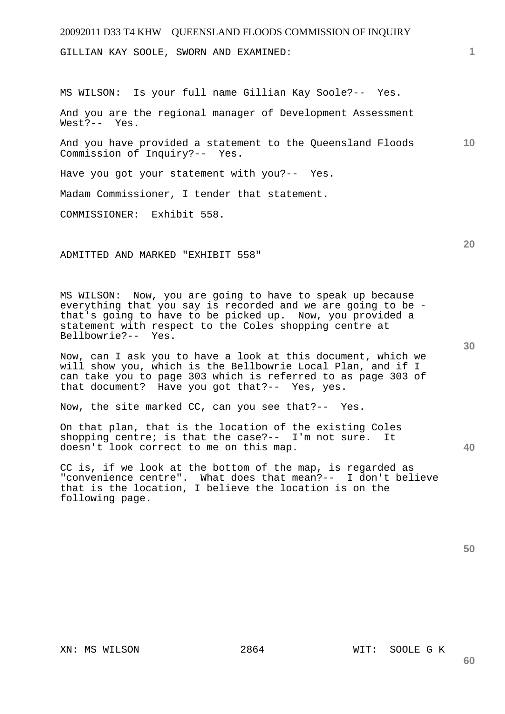GILLIAN KAY SOOLE, SWORN AND EXAMINED:

MS WILSON: Is your full name Gillian Kay Soole?-- Yes.

And you are the regional manager of Development Assessment West?-- Yes.

**10**  And you have provided a statement to the Queensland Floods Commission of Inquiry?-- Yes.

Have you got your statement with you?-- Yes.

Madam Commissioner, I tender that statement.

COMMISSIONER: Exhibit 558.

ADMITTED AND MARKED "EXHIBIT 558"

MS WILSON: Now, you are going to have to speak up because everything that you say is recorded and we are going to be that's going to have to be picked up. Now, you provided a statement with respect to the Coles shopping centre at Bellbowrie?-- Yes.

Now, can I ask you to have a look at this document, which we will show you, which is the Bellbowrie Local Plan, and if I can take you to page 303 which is referred to as page 303 of that document? Have you got that?-- Yes, yes.

Now, the site marked CC, can you see that?-- Yes.

On that plan, that is the location of the existing Coles shopping centre; is that the case?-- I'm not sure. It doesn't look correct to me on this map.

CC is, if we look at the bottom of the map, is regarded as "convenience centre". What does that mean?-- I don't believe that is the location, I believe the location is on the following page.

**60** 

**20** 

**40**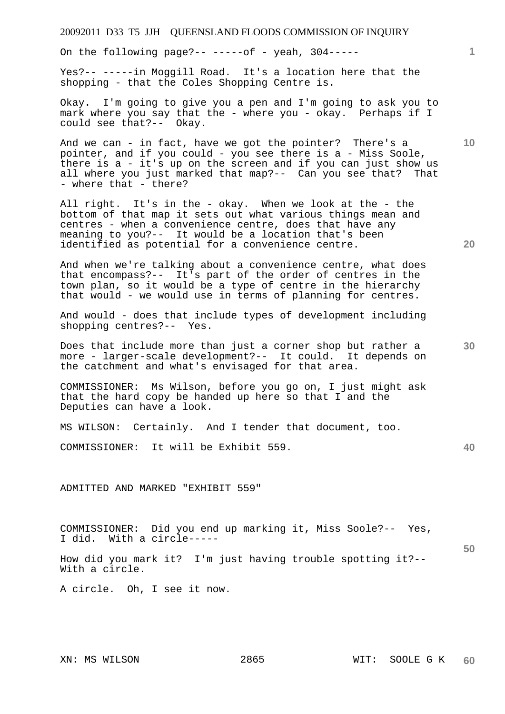| 20092011 D33 T5 JJH QUEENSLAND FLOODS COMMISSION OF INQUIRY                                                                                                                                                                                                                                     |                 |
|-------------------------------------------------------------------------------------------------------------------------------------------------------------------------------------------------------------------------------------------------------------------------------------------------|-----------------|
| On the following page?-- -----of - yeah, $304$ -----                                                                                                                                                                                                                                            | $\mathbf{1}$    |
| Yes?-- -----in Moggill Road. It's a location here that the<br>shopping - that the Coles Shopping Centre is.                                                                                                                                                                                     |                 |
| Okay. I'm going to give you a pen and I'm going to ask you to<br>mark where you say that the - where you - okay. Perhaps if I<br>could see that?-- Okay.                                                                                                                                        |                 |
| And we can - in fact, have we got the pointer? There's a<br>pointer, and if you could - you see there is a - Miss Soole,<br>there is a - it's up on the screen and if you can just show us<br>all where you just marked that map?-- Can you see that? That<br>- where that - there?             | 10 <sup>°</sup> |
| All right. It's in the - okay. When we look at the - the<br>bottom of that map it sets out what various things mean and<br>centres - when a convenience centre, does that have any<br>meaning to you?-- It would be a location that's been<br>identified as potential for a convenience centre. | 20              |
| And when we're talking about a convenience centre, what does<br>that encompass?-- It's part of the order of centres in the<br>town plan, so it would be a type of centre in the hierarchy<br>that would - we would use in terms of planning for centres.                                        |                 |
| And would - does that include types of development including<br>shopping centres?-- Yes.                                                                                                                                                                                                        |                 |
| Does that include more than just a corner shop but rather a<br>more - larger-scale development?-- It could. It depends on<br>the catchment and what's envisaged for that area.                                                                                                                  | 30              |
| COMMISSIONER: Ms Wilson, before you go on, I just might ask<br>that the hard copy be handed up here so that I and the<br>Deputies can have a look.                                                                                                                                              |                 |
| MS WILSON: Certainly. And I tender that document, too.                                                                                                                                                                                                                                          |                 |
| COMMISSIONER: It will be Exhibit 559.                                                                                                                                                                                                                                                           | 40              |
| ADMITTED AND MARKED "EXHIBIT 559"                                                                                                                                                                                                                                                               |                 |
| COMMISSIONER: Did you end up marking it, Miss Soole?-- Yes,<br>I did. With a circle-----                                                                                                                                                                                                        | 50              |
| How did you mark it? I'm just having trouble spotting it?--<br>With a circle.                                                                                                                                                                                                                   |                 |
| A circle. Oh, I see it now.                                                                                                                                                                                                                                                                     |                 |
|                                                                                                                                                                                                                                                                                                 |                 |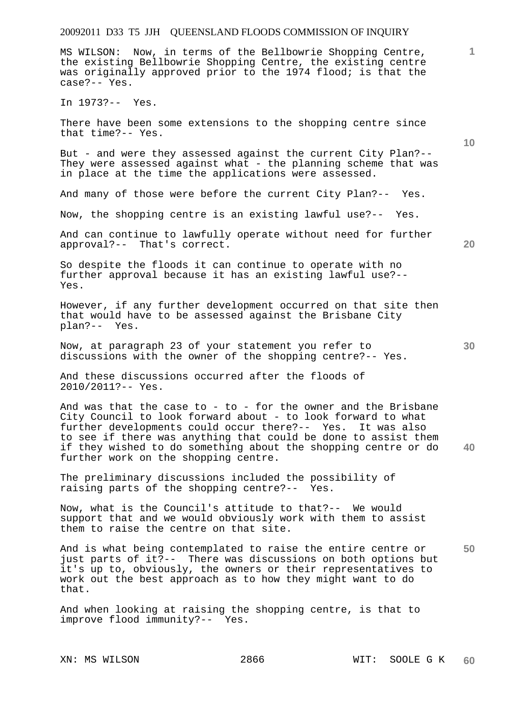**1 10 20 30 40 50**  MS WILSON: Now, in terms of the Bellbowrie Shopping Centre, the existing Bellbowrie Shopping Centre, the existing centre was originally approved prior to the 1974 flood; is that the case?-- Yes. In 1973?-- Yes. There have been some extensions to the shopping centre since that time?-- Yes. But - and were they assessed against the current City Plan?-- They were assessed against what - the planning scheme that was in place at the time the applications were assessed. And many of those were before the current City Plan?-- Yes. Now, the shopping centre is an existing lawful use?-- Yes. And can continue to lawfully operate without need for further approval?-- That's correct. So despite the floods it can continue to operate with no further approval because it has an existing lawful use?-- Yes. However, if any further development occurred on that site then that would have to be assessed against the Brisbane City plan?-- Yes. Now, at paragraph 23 of your statement you refer to discussions with the owner of the shopping centre?-- Yes. And these discussions occurred after the floods of 2010/2011?-- Yes. And was that the case to - to - for the owner and the Brisbane City Council to look forward about - to look forward to what further developments could occur there?-- Yes. It was also to see if there was anything that could be done to assist them if they wished to do something about the shopping centre or do further work on the shopping centre. The preliminary discussions included the possibility of raising parts of the shopping centre?-- Yes. Now, what is the Council's attitude to that?-- We would support that and we would obviously work with them to assist them to raise the centre on that site. And is what being contemplated to raise the entire centre or just parts of it?-- There was discussions on both options but it's up to, obviously, the owners or their representatives to work out the best approach as to how they might want to do that.

And when looking at raising the shopping centre, is that to improve flood immunity?-- Yes.

XN: MS WILSON 2866 WIT: SOOLE G K **60**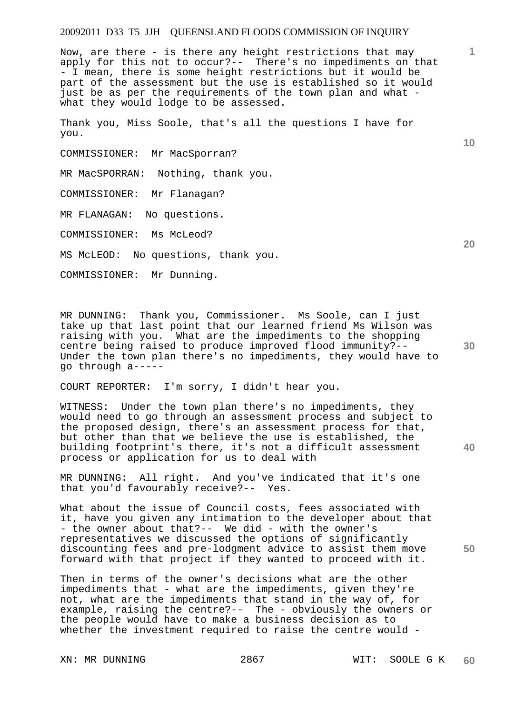Now, are there - is there any height restrictions that may apply for this not to occur?-- There's no impediments on that - I mean, there is some height restrictions but it would be part of the assessment but the use is established so it would just be as per the requirements of the town plan and what what they would lodge to be assessed.

Thank you, Miss Soole, that's all the questions I have for you.

COMMISSIONER: Mr MacSporran?

MR MacSPORRAN: Nothing, thank you.

COMMISSIONER: Mr Flanagan?

MR FLANAGAN: No questions.

COMMISSIONER: Ms McLeod?

MS McLEOD: No questions, thank you.

COMMISSIONER: Mr Dunning.

MR DUNNING: Thank you, Commissioner. Ms Soole, can I just take up that last point that our learned friend Ms Wilson was raising with you. What are the impediments to the shopping centre being raised to produce improved flood immunity?-- Under the town plan there's no impediments, they would have to go through a-----

COURT REPORTER: I'm sorry, I didn't hear you.

WITNESS: Under the town plan there's no impediments, they would need to go through an assessment process and subject to the proposed design, there's an assessment process for that, but other than that we believe the use is established, the building footprint's there, it's not a difficult assessment process or application for us to deal with

MR DUNNING: All right. And you've indicated that it's one that you'd favourably receive?-- Yes.

**50**  What about the issue of Council costs, fees associated with it, have you given any intimation to the developer about that - the owner about that?-- We did - with the owner's representatives we discussed the options of significantly discounting fees and pre-lodgment advice to assist them move forward with that project if they wanted to proceed with it.

Then in terms of the owner's decisions what are the other impediments that - what are the impediments, given they're not, what are the impediments that stand in the way of, for example, raising the centre?-- The - obviously the owners or the people would have to make a business decision as to whether the investment required to raise the centre would -

**10** 

**1**

**20** 

**30**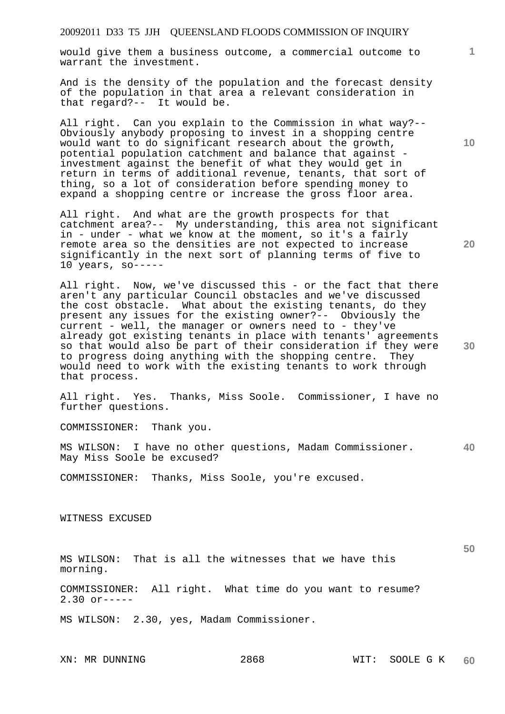would give them a business outcome, a commercial outcome to warrant the investment.

And is the density of the population and the forecast density of the population in that area a relevant consideration in that regard?-- It would be.

All right. Can you explain to the Commission in what way?-- Obviously anybody proposing to invest in a shopping centre would want to do significant research about the growth, potential population catchment and balance that against investment against the benefit of what they would get in return in terms of additional revenue, tenants, that sort of thing, so a lot of consideration before spending money to expand a shopping centre or increase the gross floor area.

All right. And what are the growth prospects for that catchment area?-- My understanding, this area not significant in - under - what we know at the moment, so it's a fairly remote area so the densities are not expected to increase significantly in the next sort of planning terms of five to 10 years, so-----

All right. Now, we've discussed this - or the fact that there aren't any particular Council obstacles and we've discussed the cost obstacle. What about the existing tenants, do they present any issues for the existing owner?-- Obviously the current - well, the manager or owners need to - they've already got existing tenants in place with tenants' agreements so that would also be part of their consideration if they were to progress doing anything with the shopping centre. They would need to work with the existing tenants to work through that process.

All right. Yes. Thanks, Miss Soole. Commissioner, I have no further questions.

COMMISSIONER: Thank you.

**40**  MS WILSON: I have no other questions, Madam Commissioner. May Miss Soole be excused?

COMMISSIONER: Thanks, Miss Soole, you're excused.

WITNESS EXCUSED

MS WILSON: That is all the witnesses that we have this morning.

COMMISSIONER: All right. What time do you want to resume?  $2.30$  or-----

MS WILSON: 2.30, yes, Madam Commissioner.

**10** 

**1**

**20** 

**30**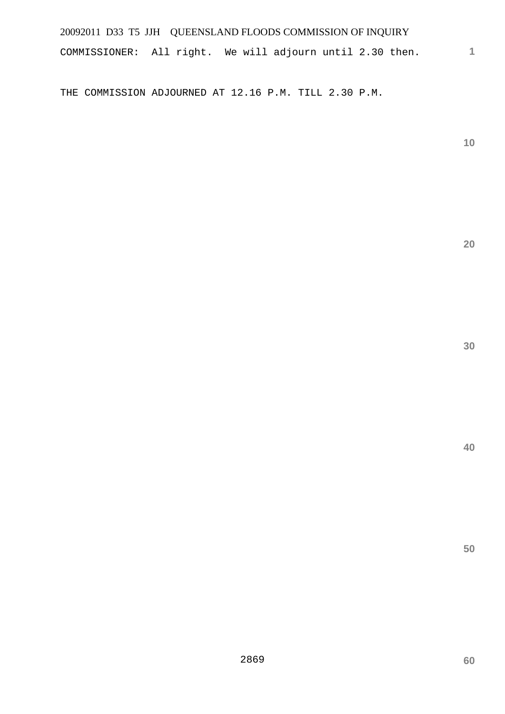COMMISSIONER: All right. We will adjourn until 2.30 then.

THE COMMISSION ADJOURNED AT 12.16 P.M. TILL 2.30 P.M.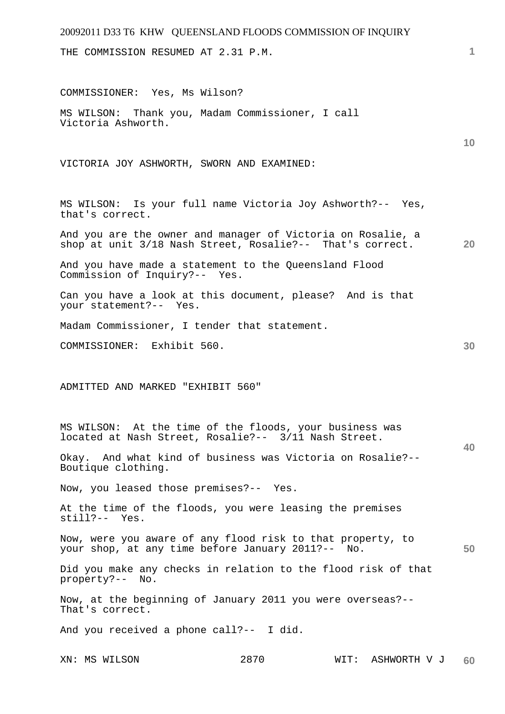# 20092011 D33 T6 KHW QUEENSLAND FLOODS COMMISSION OF INQUIRY **1 10 20 30 40 50**  THE COMMISSION RESUMED AT 2.31 P.M. COMMISSIONER: Yes, Ms Wilson? MS WILSON: Thank you, Madam Commissioner, I call Victoria Ashworth. VICTORIA JOY ASHWORTH, SWORN AND EXAMINED: MS WILSON: Is your full name Victoria Joy Ashworth?-- Yes, that's correct. And you are the owner and manager of Victoria on Rosalie, a shop at unit 3/18 Nash Street, Rosalie?-- That's correct. And you have made a statement to the Queensland Flood Commission of Inquiry?-- Yes. Can you have a look at this document, please? And is that your statement?-- Yes. Madam Commissioner, I tender that statement. COMMISSIONER: Exhibit 560. ADMITTED AND MARKED "EXHIBIT 560" MS WILSON: At the time of the floods, your business was located at Nash Street, Rosalie?-- 3/11 Nash Street. Okay. And what kind of business was Victoria on Rosalie?-- Boutique clothing. Now, you leased those premises?-- Yes. At the time of the floods, you were leasing the premises still?-- Yes. Now, were you aware of any flood risk to that property, to your shop, at any time before January 2011?-- No. Did you make any checks in relation to the flood risk of that property?-- No. Now, at the beginning of January 2011 you were overseas?-- That's correct. And you received a phone call?-- I did.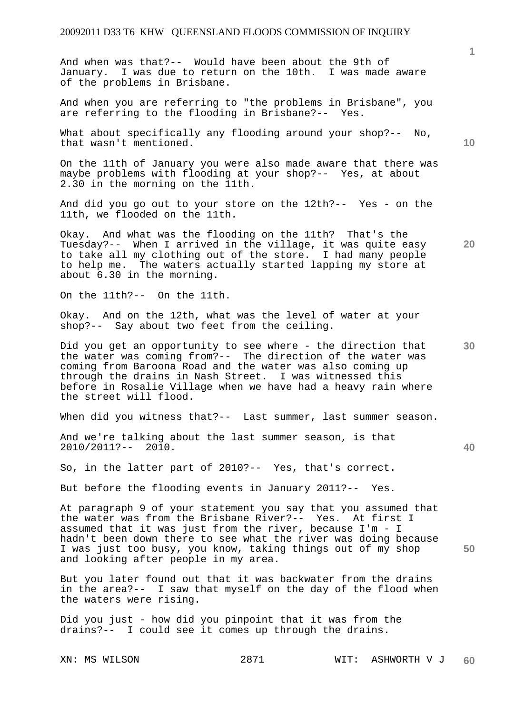And when was that?-- Would have been about the 9th of January. I was due to return on the 10th. I was made aware of the problems in Brisbane.

And when you are referring to "the problems in Brisbane", you are referring to the flooding in Brisbane?-- Yes.

What about specifically any flooding around your shop?-- No, that wasn't mentioned.

On the 11th of January you were also made aware that there was maybe problems with flooding at your shop?-- Yes, at about 2.30 in the morning on the 11th.

And did you go out to your store on the 12th?-- Yes - on the 11th, we flooded on the 11th.

Okay. And what was the flooding on the 11th? That's the Tuesday?-- When I arrived in the village, it was quite easy to take all my clothing out of the store. I had many people to help me. The waters actually started lapping my store at about 6.30 in the morning.

On the 11th?-- On the 11th.

Okay. And on the 12th, what was the level of water at your shop?-- Say about two feet from the ceiling.

**30**  Did you get an opportunity to see where - the direction that the water was coming from?-- The direction of the water was coming from Baroona Road and the water was also coming up through the drains in Nash Street. I was witnessed this before in Rosalie Village when we have had a heavy rain where the street will flood.

When did you witness that?-- Last summer, last summer season.

And we're talking about the last summer season, is that 2010/2011?-- 2010.

So, in the latter part of 2010?-- Yes, that's correct.

But before the flooding events in January 2011?-- Yes.

At paragraph 9 of your statement you say that you assumed that the water was from the Brisbane River?-- Yes. At first I assumed that it was just from the river, because I'm - I hadn't been down there to see what the river was doing because I was just too busy, you know, taking things out of my shop and looking after people in my area.

But you later found out that it was backwater from the drains in the area?-- I saw that myself on the day of the flood when the waters were rising.

Did you just - how did you pinpoint that it was from the drains?-- I could see it comes up through the drains.

**10** 

**1**

**20** 

**40**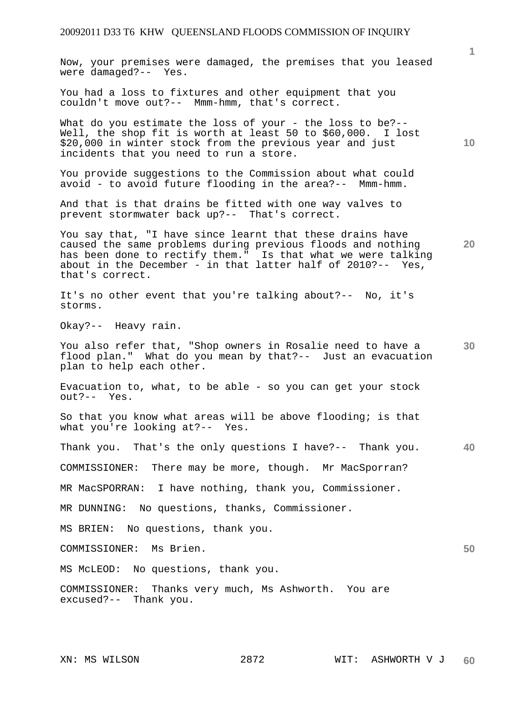Now, your premises were damaged, the premises that you leased were damaged?-- Yes.

You had a loss to fixtures and other equipment that you couldn't move out?-- Mmm-hmm, that's correct.

What do you estimate the loss of your - the loss to be?--Well, the shop fit is worth at least 50 to \$60,000. I lost \$20,000 in winter stock from the previous year and just incidents that you need to run a store.

You provide suggestions to the Commission about what could avoid - to avoid future flooding in the area?-- Mmm-hmm.

And that is that drains be fitted with one way valves to prevent stormwater back up?-- That's correct.

You say that, "I have since learnt that these drains have caused the same problems during previous floods and nothing has been done to rectify them." Is that what we were talking about in the December - in that latter half of 2010?-- Yes, that's correct.

It's no other event that you're talking about?-- No, it's storms.

Okay?-- Heavy rain.

**30**  You also refer that, "Shop owners in Rosalie need to have a flood plan." What do you mean by that?-- Just an evacuation plan to help each other.

Evacuation to, what, to be able - so you can get your stock out?-- Yes.

So that you know what areas will be above flooding; is that what you're looking at?-- Yes.

**40**  Thank you. That's the only questions I have?-- Thank you.

COMMISSIONER: There may be more, though. Mr MacSporran?

MR MacSPORRAN: I have nothing, thank you, Commissioner.

MR DUNNING: No questions, thanks, Commissioner.

MS BRIEN: No questions, thank you.

COMMISSIONER: Ms Brien.

MS McLEOD: No questions, thank you.

COMMISSIONER: Thanks very much, Ms Ashworth. You are excused?-- Thank you.

**10** 

**20**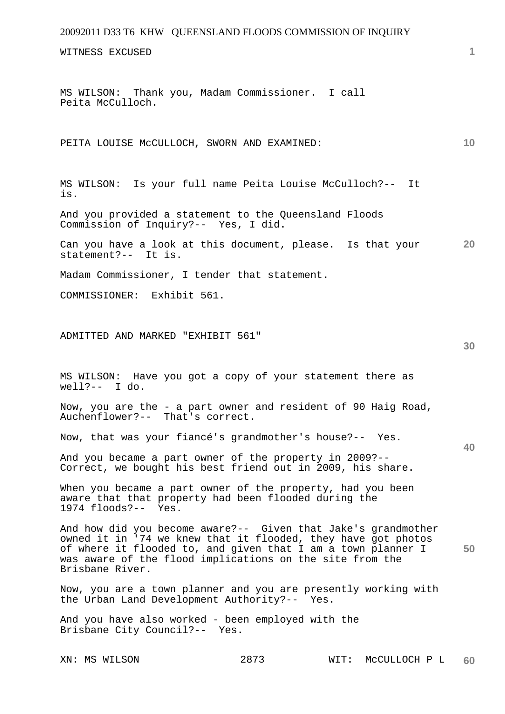WITNESS EXCUSED

MS WILSON: Thank you, Madam Commissioner. I call Peita McCulloch.

PEITA LOUISE McCULLOCH, SWORN AND EXAMINED:

MS WILSON: Is your full name Peita Louise McCulloch?-- It is.

And you provided a statement to the Queensland Floods Commission of Inquiry?-- Yes, I did.

**20**  Can you have a look at this document, please. Is that your statement?-- It is.

Madam Commissioner, I tender that statement.

COMMISSIONER: Exhibit 561.

ADMITTED AND MARKED "EXHIBIT 561"

MS WILSON: Have you got a copy of your statement there as well?-- I do.

Now, you are the - a part owner and resident of 90 Haig Road, Auchenflower?-- That's correct.

Now, that was your fiancé's grandmother's house?-- Yes.

And you became a part owner of the property in 2009?-- Correct, we bought his best friend out in 2009, his share.

When you became a part owner of the property, had you been aware that that property had been flooded during the 1974 floods?-- Yes.

**50**  And how did you become aware?-- Given that Jake's grandmother owned it in '74 we knew that it flooded, they have got photos of where it flooded to, and given that I am a town planner I was aware of the flood implications on the site from the Brisbane River.

Now, you are a town planner and you are presently working with the Urban Land Development Authority?-- Yes.

And you have also worked - been employed with the Brisbane City Council?-- Yes.

**1**

**10** 

**30**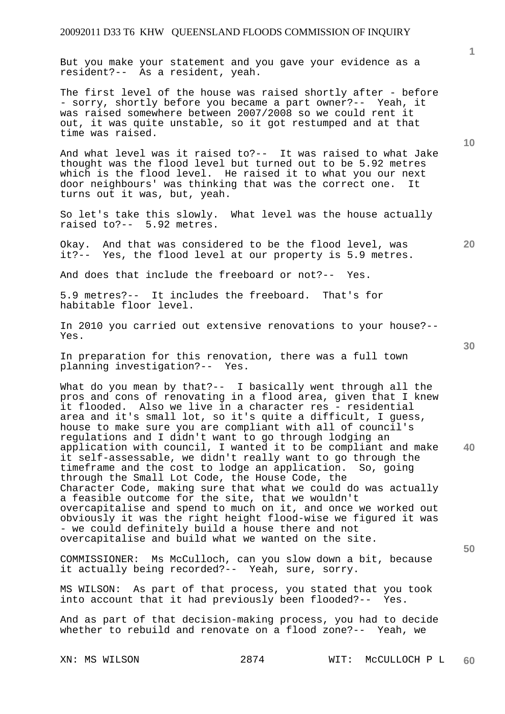But you make your statement and you gave your evidence as a resident?-- As a resident, yeah.

The first level of the house was raised shortly after - before - sorry, shortly before you became a part owner?-- Yeah, it was raised somewhere between 2007/2008 so we could rent it out, it was quite unstable, so it got restumped and at that time was raised.

And what level was it raised to?-- It was raised to what Jake thought was the flood level but turned out to be 5.92 metres which is the flood level. He raised it to what you our next door neighbours' was thinking that was the correct one. It turns out it was, but, yeah.

So let's take this slowly. What level was the house actually raised to?-- 5.92 metres.

Okay. And that was considered to be the flood level, was it?-- Yes, the flood level at our property is 5.9 metres.

And does that include the freeboard or not?-- Yes.

5.9 metres?-- It includes the freeboard. That's for habitable floor level.

In 2010 you carried out extensive renovations to your house?-- Yes.

In preparation for this renovation, there was a full town planning investigation?-- Yes.

**40**  What do you mean by that?-- I basically went through all the pros and cons of renovating in a flood area, given that I knew it flooded. Also we live in a character res - residential area and it's small lot, so it's quite a difficult, I guess, house to make sure you are compliant with all of council's regulations and I didn't want to go through lodging an application with council, I wanted it to be compliant and make it self-assessable, we didn't really want to go through the timeframe and the cost to lodge an application. So, going through the Small Lot Code, the House Code, the Character Code, making sure that what we could do was actually a feasible outcome for the site, that we wouldn't overcapitalise and spend to much on it, and once we worked out obviously it was the right height flood-wise we figured it was - we could definitely build a house there and not overcapitalise and build what we wanted on the site.

COMMISSIONER: Ms McCulloch, can you slow down a bit, because it actually being recorded?-- Yeah, sure, sorry.

MS WILSON: As part of that process, you stated that you took into account that it had previously been flooded?-- Yes.

And as part of that decision-making process, you had to decide whether to rebuild and renovate on a flood zone?-- Yeah, we

**1**

**10** 

**20**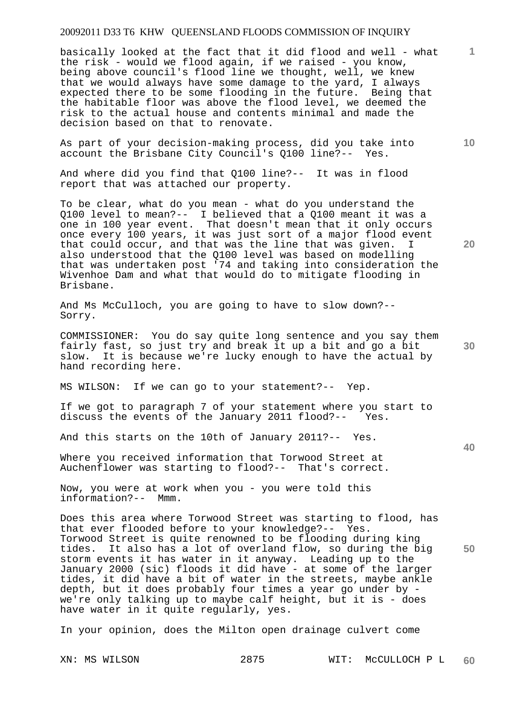basically looked at the fact that it did flood and well - what the risk - would we flood again, if we raised - you know, being above council's flood line we thought, well, we knew that we would always have some damage to the yard, I always expected there to be some flooding in the future. Being that the habitable floor was above the flood level, we deemed the risk to the actual house and contents minimal and made the decision based on that to renovate.

As part of your decision-making process, did you take into account the Brisbane City Council's Q100 line?-- Yes.

And where did you find that Q100 line?-- It was in flood report that was attached our property.

To be clear, what do you mean - what do you understand the Q100 level to mean?-- I believed that a Q100 meant it was a one in 100 year event. That doesn't mean that it only occurs once every 100 years, it was just sort of a major flood event that could occur, and that was the line that was given. also understood that the Q100 level was based on modelling that was undertaken post '74 and taking into consideration the Wivenhoe Dam and what that would do to mitigate flooding in Brisbane.

And Ms McCulloch, you are going to have to slow down?-- Sorry.

COMMISSIONER: You do say quite long sentence and you say them fairly fast, so just try and break it up a bit and go a bit slow. It is because we're lucky enough to have the actual by hand recording here.

MS WILSON: If we can go to your statement?-- Yep.

If we got to paragraph 7 of your statement where you start to discuss the events of the January 2011 flood?-- Yes.

And this starts on the 10th of January 2011?-- Yes.

Where you received information that Torwood Street at Auchenflower was starting to flood?-- That's correct.

Now, you were at work when you - you were told this information?-- Mmm.

**50**  Does this area where Torwood Street was starting to flood, has that ever flooded before to your knowledge?-- Yes. Torwood Street is quite renowned to be flooding during king tides. It also has a lot of overland flow, so during the big storm events it has water in it anyway. Leading up to the January 2000 (sic) floods it did have - at some of the larger tides, it did have a bit of water in the streets, maybe ankle depth, but it does probably four times a year go under by we're only talking up to maybe calf height, but it is - does have water in it quite regularly, yes.

In your opinion, does the Milton open drainage culvert come

**20** 

**10** 

**1**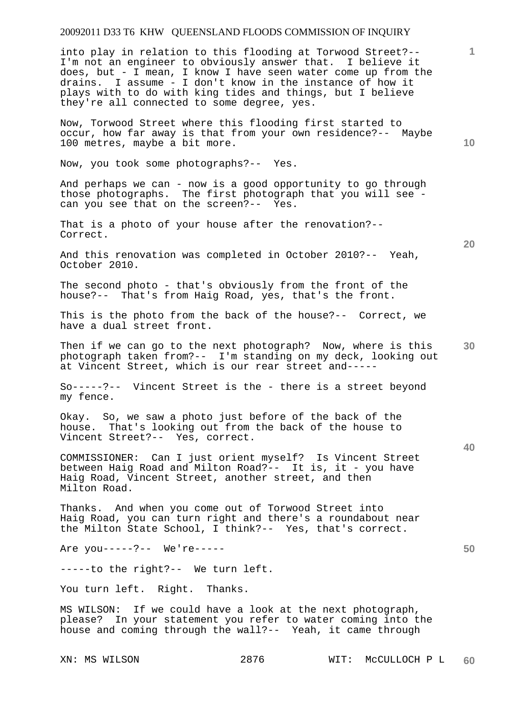into play in relation to this flooding at Torwood Street?-- I'm not an engineer to obviously answer that. I believe it does, but - I mean, I know I have seen water come up from the drains. I assume - I don't know in the instance of how it plays with to do with king tides and things, but I believe they're all connected to some degree, yes.

Now, Torwood Street where this flooding first started to occur, how far away is that from your own residence?-- Maybe 100 metres, maybe a bit more.

Now, you took some photographs?-- Yes.

And perhaps we can - now is a good opportunity to go through those photographs. The first photograph that you will see can you see that on the screen?-- Yes.

That is a photo of your house after the renovation?-- Correct.

And this renovation was completed in October 2010?-- Yeah, October 2010.

The second photo - that's obviously from the front of the house?-- That's from Haig Road, yes, that's the front.

This is the photo from the back of the house?-- Correct, we have a dual street front.

**30**  Then if we can go to the next photograph? Now, where is this photograph taken from?-- I'm standing on my deck, looking out at Vincent Street, which is our rear street and-----

So-----?-- Vincent Street is the - there is a street beyond my fence.

Okay. So, we saw a photo just before of the back of the house. That's looking out from the back of the house to Vincent Street?-- Yes, correct.

COMMISSIONER: Can I just orient myself? Is Vincent Street between Haig Road and Milton Road?-- It is, it - you have Haig Road, Vincent Street, another street, and then Milton Road.

Thanks. And when you come out of Torwood Street into Haig Road, you can turn right and there's a roundabout near the Milton State School, I think?-- Yes, that's correct.

Are you-----?-- We're-----

-----to the right?-- We turn left.

You turn left. Right. Thanks.

MS WILSON: If we could have a look at the next photograph, please? In your statement you refer to water coming into the house and coming through the wall?-- Yeah, it came through

**20** 

**10** 

**1**

**40**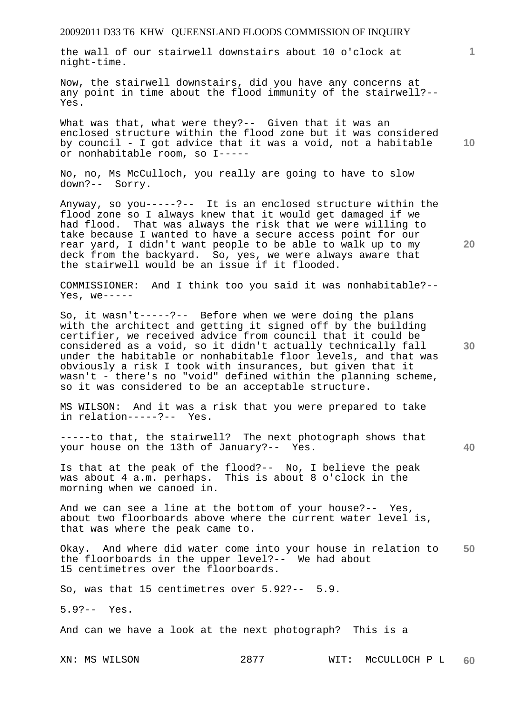the wall of our stairwell downstairs about 10 o'clock at night-time.

Now, the stairwell downstairs, did you have any concerns at any point in time about the flood immunity of the stairwell?-- Yes.

What was that, what were they?-- Given that it was an enclosed structure within the flood zone but it was considered by council - I got advice that it was a void, not a habitable or nonhabitable room, so I-----

No, no, Ms McCulloch, you really are going to have to slow down?-- Sorry.

Anyway, so you-----?-- It is an enclosed structure within the flood zone so I always knew that it would get damaged if we had flood. That was always the risk that we were willing to take because I wanted to have a secure access point for our rear yard, I didn't want people to be able to walk up to my deck from the backyard. So, yes, we were always aware that the stairwell would be an issue if it flooded.

COMMISSIONER: And I think too you said it was nonhabitable?--  $Yes, we --- -$ 

So, it wasn't-----?-- Before when we were doing the plans with the architect and getting it signed off by the building certifier, we received advice from council that it could be considered as a void, so it didn't actually technically fall under the habitable or nonhabitable floor levels, and that was obviously a risk I took with insurances, but given that it wasn't - there's no "void" defined within the planning scheme, so it was considered to be an acceptable structure.

MS WILSON: And it was a risk that you were prepared to take in relation-----?-- Yes.

-----to that, the stairwell? The next photograph shows that your house on the 13th of January?-- Yes.

Is that at the peak of the flood?-- No, I believe the peak was about 4 a.m. perhaps. This is about 8 o'clock in the morning when we canoed in.

And we can see a line at the bottom of your house?-- Yes, about two floorboards above where the current water level is, that was where the peak came to.

**50**  Okay. And where did water come into your house in relation to the floorboards in the upper level?-- We had about 15 centimetres over the floorboards.

So, was that 15 centimetres over 5.92?-- 5.9.

5.9?-- Yes.

And can we have a look at the next photograph? This is a

XN: MS WILSON 2877 WIT: McCULLOCH P L **60** 

**30** 

**40** 

**10** 

**20**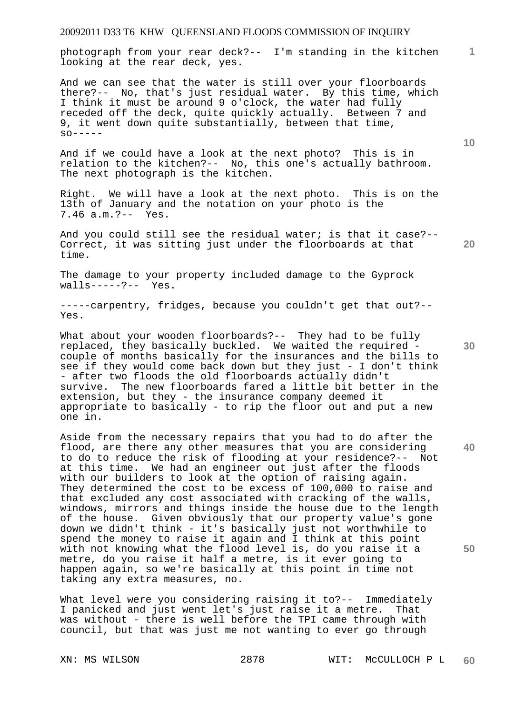**1** photograph from your rear deck?-- I'm standing in the kitchen looking at the rear deck, yes.

And we can see that the water is still over your floorboards there?-- No, that's just residual water. By this time, which I think it must be around 9 o'clock, the water had fully receded off the deck, quite quickly actually. Between 7 and 9, it went down quite substantially, between that time,  $SO-----$ 

And if we could have a look at the next photo? This is in relation to the kitchen?-- No, this one's actually bathroom. The next photograph is the kitchen.

Right. We will have a look at the next photo. This is on the 13th of January and the notation on your photo is the 7.46 a.m.?-- Yes.

And you could still see the residual water; is that it case?-- Correct, it was sitting just under the floorboards at that time.

The damage to your property included damage to the Gyprock walls-----?-- Yes.  $walls---?--$ 

-----carpentry, fridges, because you couldn't get that out?-- Yes.

What about your wooden floorboards?-- They had to be fully replaced, they basically buckled. We waited the required couple of months basically for the insurances and the bills to see if they would come back down but they just - I don't think - after two floods the old floorboards actually didn't survive. The new floorboards fared a little bit better in the extension, but they - the insurance company deemed it appropriate to basically - to rip the floor out and put a new one in.

Aside from the necessary repairs that you had to do after the flood, are there any other measures that you are considering to do to reduce the risk of flooding at your residence?-- Not at this time. We had an engineer out just after the floods with our builders to look at the option of raising again. They determined the cost to be excess of 100,000 to raise and that excluded any cost associated with cracking of the walls, windows, mirrors and things inside the house due to the length of the house. Given obviously that our property value's gone down we didn't think - it's basically just not worthwhile to spend the money to raise it again and I think at this point with not knowing what the flood level is, do you raise it a metre, do you raise it half a metre, is it ever going to happen again, so we're basically at this point in time not taking any extra measures, no.

What level were you considering raising it to?-- Immediately I panicked and just went let's just raise it a metre. That was without - there is well before the TPI came through with council, but that was just me not wanting to ever go through

**30** 

**20** 

**10** 

**40**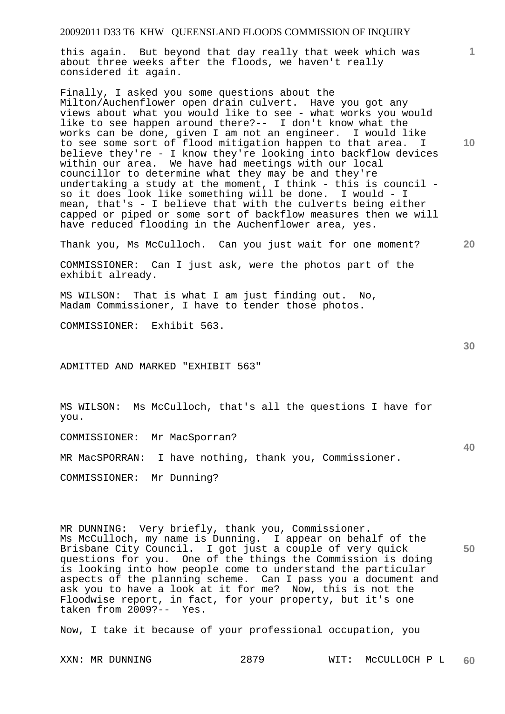this again. But beyond that day really that week which was about three weeks after the floods, we haven't really considered it again.

Finally, I asked you some questions about the Milton/Auchenflower open drain culvert. Have you got any views about what you would like to see - what works you would like to see happen around there?-- I don't know what the works can be done, given I am not an engineer. I would like to see some sort of flood mitigation happen to that area. I believe they're - I know they're looking into backflow devices within our area. We have had meetings with our local councillor to determine what they may be and they're undertaking a study at the moment, I think - this is council so it does look like something will be done. I would - I mean, that's - I believe that with the culverts being either capped or piped or some sort of backflow measures then we will have reduced flooding in the Auchenflower area, yes.

Thank you, Ms McCulloch. Can you just wait for one moment?

COMMISSIONER: Can I just ask, were the photos part of the exhibit already.

MS WILSON: That is what I am just finding out. No, Madam Commissioner, I have to tender those photos.

COMMISSIONER: Exhibit 563.

ADMITTED AND MARKED "EXHIBIT 563"

MS WILSON: Ms McCulloch, that's all the questions I have for you.

COMMISSIONER: Mr MacSporran?

MR MacSPORRAN: I have nothing, thank you, Commissioner.

COMMISSIONER: Mr Dunning?

**50**  MR DUNNING: Very briefly, thank you, Commissioner. Ms McCulloch, my name is Dunning. I appear on behalf of the Brisbane City Council. I got just a couple of very quick questions for you. One of the things the Commission is doing is looking into how people come to understand the particular aspects of the planning scheme. Can I pass you a document and ask you to have a look at it for me? Now, this is not the Floodwise report, in fact, for your property, but it's one taken from 2009?-- Yes.

Now, I take it because of your professional occupation, you

**1**

**10** 

**20** 

**30**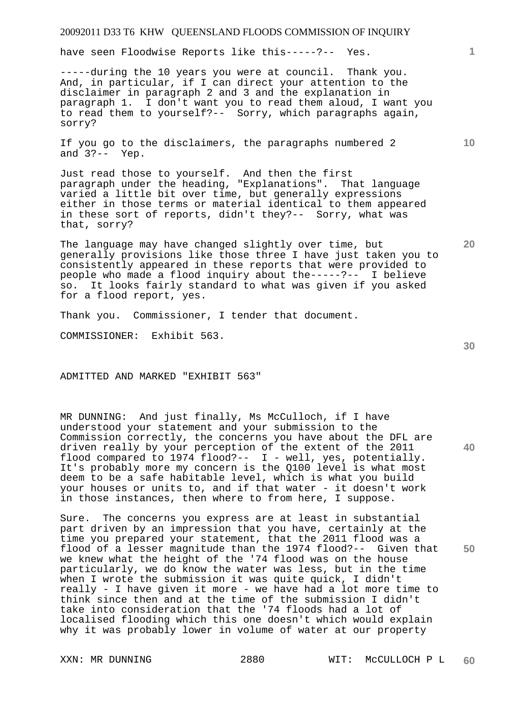have seen Floodwise Reports like this-----?-- Yes.

-----during the 10 years you were at council. Thank you. And, in particular, if I can direct your attention to the disclaimer in paragraph 2 and 3 and the explanation in paragraph 1. I don't want you to read them aloud, I want you to read them to yourself?-- Sorry, which paragraphs again, sorry?

If you go to the disclaimers, the paragraphs numbered 2 and 3?-- Yep.

Just read those to yourself. And then the first paragraph under the heading, "Explanations". That language varied a little bit over time, but generally expressions either in those terms or material identical to them appeared in these sort of reports, didn't they?-- Sorry, what was that, sorry?

The language may have changed slightly over time, but generally provisions like those three I have just taken you to consistently appeared in these reports that were provided to people who made a flood inquiry about the-----?-- I believe so. It looks fairly standard to what was given if you asked for a flood report, yes.

Thank you. Commissioner, I tender that document.

COMMISSIONER: Exhibit 563.

ADMITTED AND MARKED "EXHIBIT 563"

MR DUNNING: And just finally, Ms McCulloch, if I have understood your statement and your submission to the Commission correctly, the concerns you have about the DFL are driven really by your perception of the extent of the 2011 flood compared to 1974 flood?-- I - well, yes, potentially. It's probably more my concern is the Q100 level is what most deem to be a safe habitable level, which is what you build your houses or units to, and if that water - it doesn't work in those instances, then where to from here, I suppose.

Sure. The concerns you express are at least in substantial part driven by an impression that you have, certainly at the time you prepared your statement, that the 2011 flood was a flood of a lesser magnitude than the 1974 flood?-- Given that we knew what the height of the '74 flood was on the house particularly, we do know the water was less, but in the time when I wrote the submission it was quite quick, I didn't really - I have given it more - we have had a lot more time to think since then and at the time of the submission I didn't take into consideration that the '74 floods had a lot of localised flooding which this one doesn't which would explain why it was probably lower in volume of water at our property

**30** 

**20** 

**50** 

**10**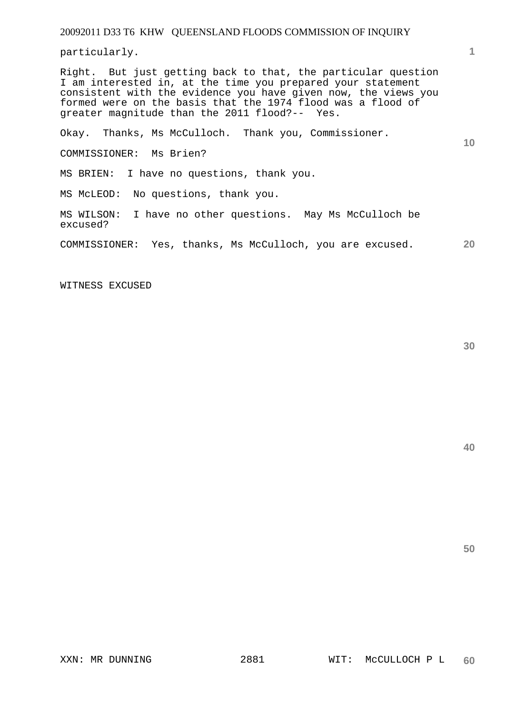particularly.

Right. But just getting back to that, the particular question I am interested in, at the time you prepared your statement consistent with the evidence you have given now, the views you formed were on the basis that the 1974 flood was a flood of greater magnitude than the 2011 flood?-- Yes.

Okay. Thanks, Ms McCulloch. Thank you, Commissioner.

COMMISSIONER: Ms Brien?

MS BRIEN: I have no questions, thank you.

MS McLEOD: No questions, thank you.

MS WILSON: I have no other questions. May Ms McCulloch be excused?

**20**  COMMISSIONER: Yes, thanks, Ms McCulloch, you are excused.

WITNESS EXCUSED

**40** 

**50** 

**1**